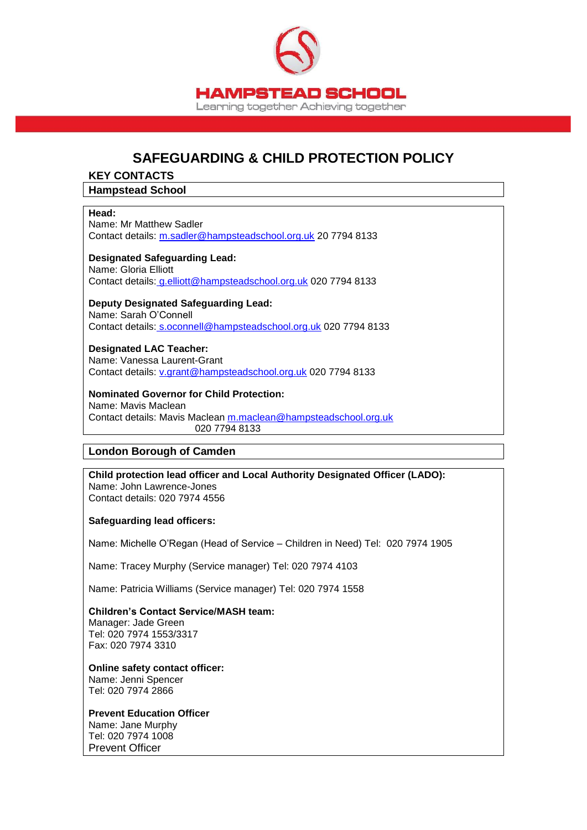

# **SAFEGUARDING & CHILD PROTECTION POLICY**

#### **KEY CONTACTS**

#### **Hampstead School**

#### **Head:**

Name: Mr Matthew Sadler Contact details: [m.sadler@hampsteadschool.org.uk](mailto:m.sadler@hampsteadschool.org.uk) 20 7794 8133

#### **Designated Safeguarding Lead:**

Name: Gloria Elliott Contact details: [g.elliott@hampsteadschool.org.uk](mailto:g.elliott@hampsteadschool.org.uk) 020 7794 8133

#### **Deputy Designated Safeguarding Lead:**

Name: Sarah O'Connell Contact details: [s.oconnell@hampsteadschool.org.uk](mailto:s.oconnell@hampsteadschool.org.uk) 020 7794 8133

**Designated LAC Teacher:** Name: Vanessa Laurent-Grant Contact details: [v.grant@hampsteadschool.org.uk](mailto:v.grant@hampsteadschool.org.uk) 020 7794 8133

## **Nominated Governor for Child Protection:** Name: Mavis Maclean

Contact details: Mavis Maclean [m.maclean@hampsteadschool.org.uk](mailto:m.maclean@hampsteadschool.org.uk) 020 7794 8133

#### **London Borough of Camden**

**Child protection lead officer and Local Authority Designated Officer (LADO):** Name: John Lawrence-Jones Contact details: 020 7974 4556

#### **Safeguarding lead officers:**

Name: Michelle O'Regan (Head of Service – Children in Need) Tel: 020 7974 1905

Name: Tracey Murphy (Service manager) Tel: 020 7974 4103

Name: Patricia Williams (Service manager) Tel: 020 7974 1558

**Children's Contact Service/MASH team:** Manager: Jade Green Tel: 020 7974 1553/3317 Fax: 020 7974 3310

**Online safety contact officer:** Name: Jenni Spencer Tel: 020 7974 2866

#### **Prevent Education Officer**

Name: Jane Murphy Tel: 020 7974 1008 Prevent Officer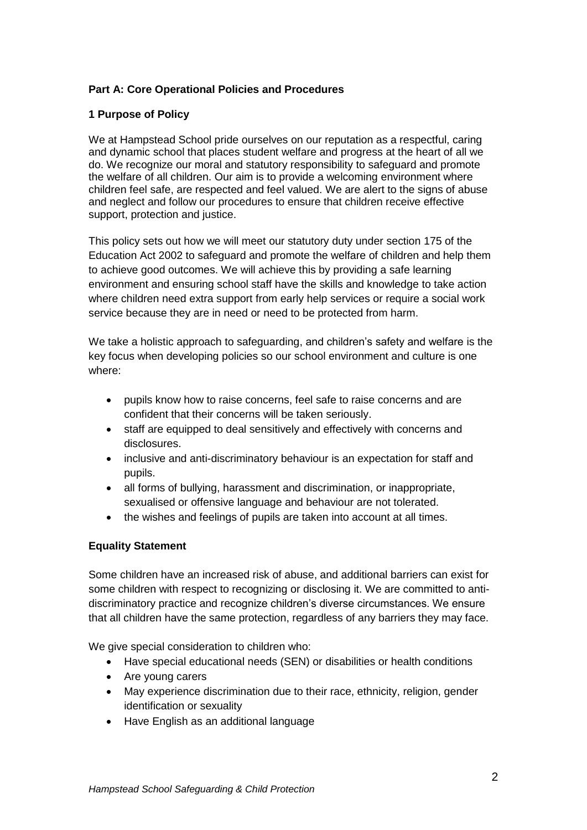## **Part A: Core Operational Policies and Procedures**

#### **1 Purpose of Policy**

We at Hampstead School pride ourselves on our reputation as a respectful, caring and dynamic school that places student welfare and progress at the heart of all we do. We recognize our moral and statutory responsibility to safeguard and promote the welfare of all children. Our aim is to provide a welcoming environment where children feel safe, are respected and feel valued. We are alert to the signs of abuse and neglect and follow our procedures to ensure that children receive effective support, protection and justice.

This policy sets out how we will meet our statutory duty under section 175 of the Education Act 2002 to safeguard and promote the welfare of children and help them to achieve good outcomes. We will achieve this by providing a safe learning environment and ensuring school staff have the skills and knowledge to take action where children need extra support from early help services or require a social work service because they are in need or need to be protected from harm.

We take a holistic approach to safeguarding, and children's safety and welfare is the key focus when developing policies so our school environment and culture is one where:

- pupils know how to raise concerns, feel safe to raise concerns and are confident that their concerns will be taken seriously.
- staff are equipped to deal sensitively and effectively with concerns and disclosures.
- inclusive and anti-discriminatory behaviour is an expectation for staff and pupils.
- all forms of bullying, harassment and discrimination, or inappropriate, sexualised or offensive language and behaviour are not tolerated.
- the wishes and feelings of pupils are taken into account at all times.

## **Equality Statement**

Some children have an increased risk of abuse, and additional barriers can exist for some children with respect to recognizing or disclosing it. We are committed to antidiscriminatory practice and recognize children's diverse circumstances. We ensure that all children have the same protection, regardless of any barriers they may face.

We give special consideration to children who:

- Have special educational needs (SEN) or disabilities or health conditions
- Are young carers
- May experience discrimination due to their race, ethnicity, religion, gender identification or sexuality
- Have English as an additional language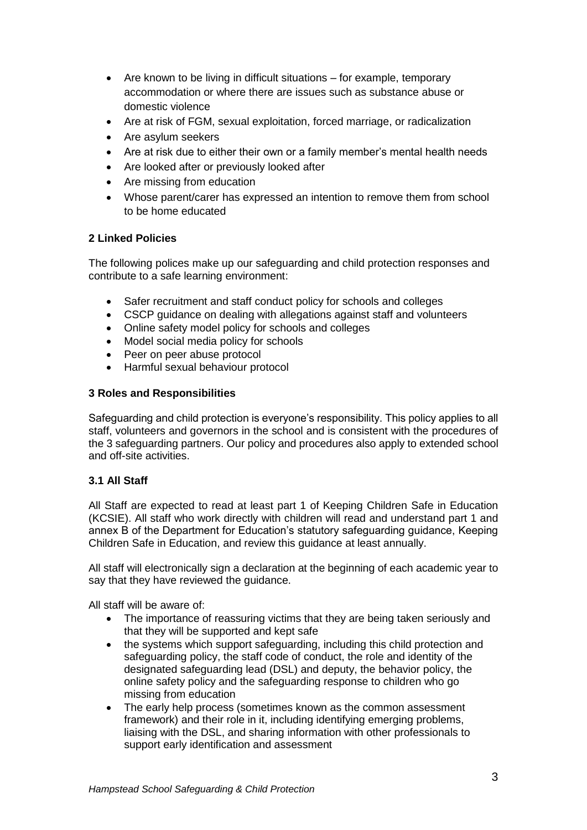- Are known to be living in difficult situations for example, temporary accommodation or where there are issues such as substance abuse or domestic violence
- Are at risk of FGM, sexual exploitation, forced marriage, or radicalization
- Are asylum seekers
- Are at risk due to either their own or a family member's mental health needs
- Are looked after or previously looked after
- Are missing from education
- Whose parent/carer has expressed an intention to remove them from school to be home educated

## **2 Linked Policies**

The following polices make up our safeguarding and child protection responses and contribute to a safe learning environment:

- Safer recruitment and staff conduct policy for schools and colleges
- CSCP guidance on dealing with allegations against staff and volunteers
- Online safety model policy for schools and colleges
- Model social media policy for schools
- Peer on peer abuse protocol
- Harmful sexual behaviour protocol

## **3 Roles and Responsibilities**

Safeguarding and child protection is everyone's responsibility. This policy applies to all staff, volunteers and governors in the school and is consistent with the procedures of the 3 safeguarding partners. Our policy and procedures also apply to extended school and off-site activities.

## **3.1 All Staff**

All Staff are expected to read at least part 1 of Keeping Children Safe in Education (KCSIE). All staff who work directly with children will read and understand part 1 and annex B of the Department for Education's statutory safeguarding guidance, Keeping Children Safe in Education, and review this guidance at least annually.

All staff will electronically sign a declaration at the beginning of each academic year to say that they have reviewed the guidance.

All staff will be aware of:

- The importance of reassuring victims that they are being taken seriously and that they will be supported and kept safe
- the systems which support safeguarding, including this child protection and safeguarding policy, the staff code of conduct, the role and identity of the designated safeguarding lead (DSL) and deputy, the behavior policy, the online safety policy and the safeguarding response to children who go missing from education
- The early help process (sometimes known as the common assessment framework) and their role in it, including identifying emerging problems, liaising with the DSL, and sharing information with other professionals to support early identification and assessment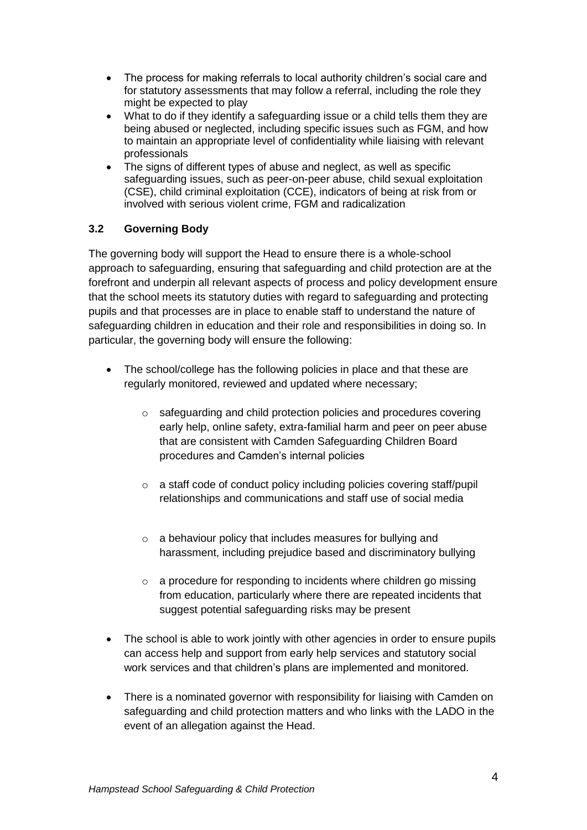- The process for making referrals to local authority children's social care and for statutory assessments that may follow a referral, including the role they might be expected to play
- What to do if they identify a safeguarding issue or a child tells them they are being abused or neglected, including specific issues such as FGM, and how to maintain an appropriate level of confidentiality while liaising with relevant professionals
- The signs of different types of abuse and neglect, as well as specific safeguarding issues, such as peer-on-peer abuse, child sexual exploitation (CSE), child criminal exploitation (CCE), indicators of being at risk from or involved with serious violent crime, FGM and radicalization

## **3.2 Governing Body**

The governing body will support the Head to ensure there is a whole-school approach to safeguarding, ensuring that safeguarding and child protection are at the forefront and underpin all relevant aspects of process and policy development ensure that the school meets its statutory duties with regard to safeguarding and protecting pupils and that processes are in place to enable staff to understand the nature of safeguarding children in education and their role and responsibilities in doing so. In particular, the governing body will ensure the following:

- The school/college has the following policies in place and that these are regularly monitored, reviewed and updated where necessary;
	- o safeguarding and child protection policies and procedures covering early help, online safety, extra-familial harm and peer on peer abuse that are consistent with Camden Safeguarding Children Board procedures and Camden's internal policies
	- o a staff code of conduct policy including policies covering staff/pupil relationships and communications and staff use of social media
	- o a behaviour policy that includes measures for bullying and harassment, including prejudice based and discriminatory bullying
	- $\circ$  a procedure for responding to incidents where children go missing from education, particularly where there are repeated incidents that suggest potential safeguarding risks may be present
- The school is able to work jointly with other agencies in order to ensure pupils can access help and support from early help services and statutory social work services and that children's plans are implemented and monitored.
- There is a nominated governor with responsibility for liaising with Camden on safeguarding and child protection matters and who links with the LADO in the event of an allegation against the Head.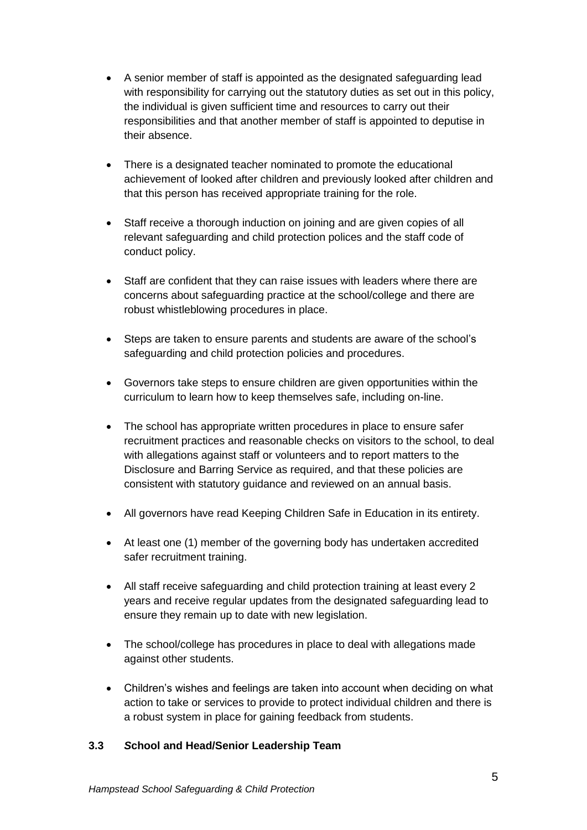- A senior member of staff is appointed as the designated safeguarding lead with responsibility for carrying out the statutory duties as set out in this policy, the individual is given sufficient time and resources to carry out their responsibilities and that another member of staff is appointed to deputise in their absence.
- There is a designated teacher nominated to promote the educational achievement of looked after children and previously looked after children and that this person has received appropriate training for the role.
- Staff receive a thorough induction on joining and are given copies of all relevant safeguarding and child protection polices and the staff code of conduct policy.
- Staff are confident that they can raise issues with leaders where there are concerns about safeguarding practice at the school/college and there are robust whistleblowing procedures in place.
- Steps are taken to ensure parents and students are aware of the school's safeguarding and child protection policies and procedures.
- Governors take steps to ensure children are given opportunities within the curriculum to learn how to keep themselves safe, including on-line.
- The school has appropriate written procedures in place to ensure safer recruitment practices and reasonable checks on visitors to the school, to deal with allegations against staff or volunteers and to report matters to the Disclosure and Barring Service as required, and that these policies are consistent with statutory guidance and reviewed on an annual basis.
- All governors have read Keeping Children Safe in Education in its entirety.
- At least one (1) member of the governing body has undertaken accredited safer recruitment training.
- All staff receive safeguarding and child protection training at least every 2 years and receive regular updates from the designated safeguarding lead to ensure they remain up to date with new legislation.
- The school/college has procedures in place to deal with allegations made against other students.
- Children's wishes and feelings are taken into account when deciding on what action to take or services to provide to protect individual children and there is a robust system in place for gaining feedback from students.

## **3.3** *S***chool and Head/Senior Leadership Team**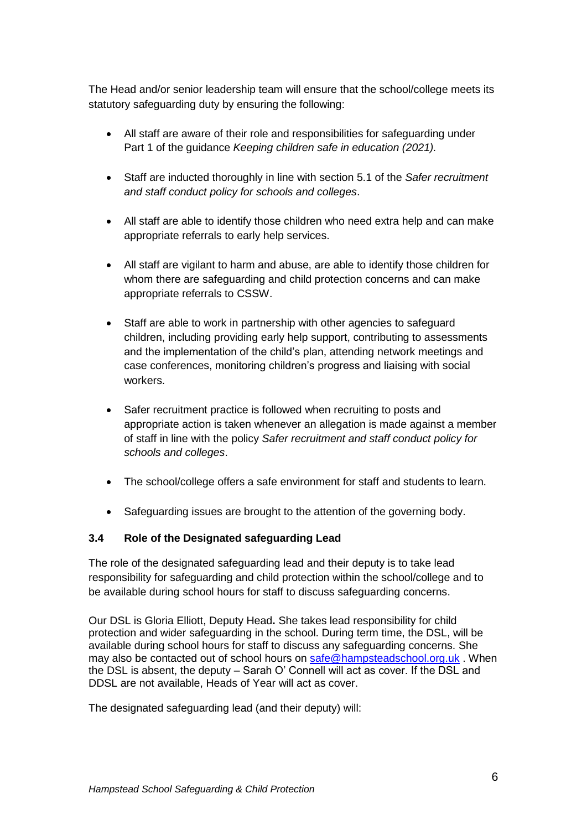The Head and/or senior leadership team will ensure that the school/college meets its statutory safeguarding duty by ensuring the following:

- All staff are aware of their role and responsibilities for safeguarding under Part 1 of the guidance *Keeping children safe in education (2021).*
- Staff are inducted thoroughly in line with section 5.1 of the *Safer recruitment and staff conduct policy for schools and colleges*.
- All staff are able to identify those children who need extra help and can make appropriate referrals to early help services.
- All staff are vigilant to harm and abuse, are able to identify those children for whom there are safeguarding and child protection concerns and can make appropriate referrals to CSSW.
- Staff are able to work in partnership with other agencies to safeguard children, including providing early help support, contributing to assessments and the implementation of the child's plan, attending network meetings and case conferences, monitoring children's progress and liaising with social workers.
- Safer recruitment practice is followed when recruiting to posts and appropriate action is taken whenever an allegation is made against a member of staff in line with the policy *Safer recruitment and staff conduct policy for schools and colleges*.
- The school/college offers a safe environment for staff and students to learn.
- Safeguarding issues are brought to the attention of the governing body.

## **3.4 Role of the Designated safeguarding Lead**

The role of the designated safeguarding lead and their deputy is to take lead responsibility for safeguarding and child protection within the school/college and to be available during school hours for staff to discuss safeguarding concerns.

Our DSL is Gloria Elliott, Deputy Head**.** She takes lead responsibility for child protection and wider safeguarding in the school. During term time, the DSL, will be available during school hours for staff to discuss any safeguarding concerns. She may also be contacted out of school hours on [safe@hampsteadschool.org.uk](mailto:safe@hampsteadschool.org.uk) . When the DSL is absent, the deputy – Sarah O' Connell will act as cover. If the DSL and DDSL are not available, Heads of Year will act as cover.

The designated safeguarding lead (and their deputy) will: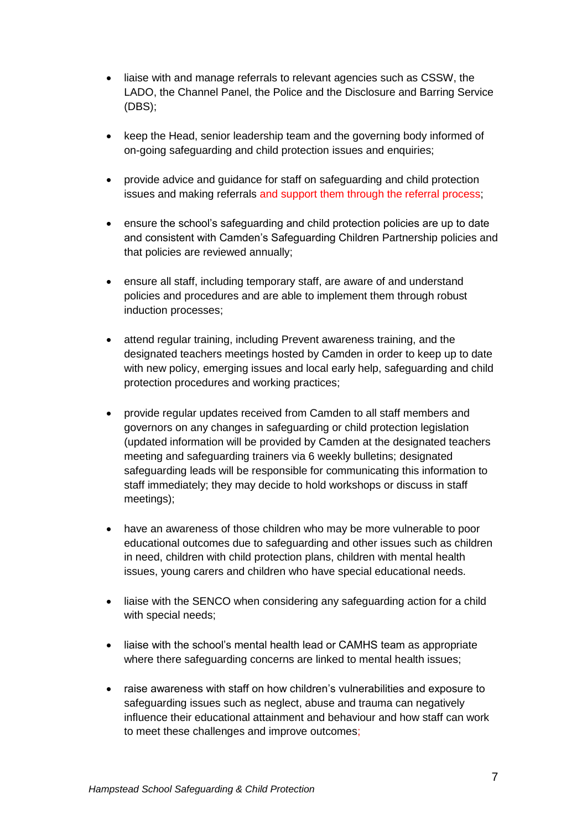- liaise with and manage referrals to relevant agencies such as CSSW, the LADO, the Channel Panel, the Police and the Disclosure and Barring Service (DBS);
- keep the Head, senior leadership team and the governing body informed of on-going safeguarding and child protection issues and enquiries;
- provide advice and guidance for staff on safeguarding and child protection issues and making referrals and support them through the referral process;
- ensure the school's safeguarding and child protection policies are up to date and consistent with Camden's Safeguarding Children Partnership policies and that policies are reviewed annually;
- ensure all staff, including temporary staff, are aware of and understand policies and procedures and are able to implement them through robust induction processes;
- attend regular training, including Prevent awareness training, and the designated teachers meetings hosted by Camden in order to keep up to date with new policy, emerging issues and local early help, safeguarding and child protection procedures and working practices;
- provide regular updates received from Camden to all staff members and governors on any changes in safeguarding or child protection legislation (updated information will be provided by Camden at the designated teachers meeting and safeguarding trainers via 6 weekly bulletins; designated safeguarding leads will be responsible for communicating this information to staff immediately; they may decide to hold workshops or discuss in staff meetings);
- have an awareness of those children who may be more vulnerable to poor educational outcomes due to safeguarding and other issues such as children in need, children with child protection plans, children with mental health issues, young carers and children who have special educational needs.
- liaise with the SENCO when considering any safeguarding action for a child with special needs;
- liaise with the school's mental health lead or CAMHS team as appropriate where there safeguarding concerns are linked to mental health issues;
- raise awareness with staff on how children's vulnerabilities and exposure to safeguarding issues such as neglect, abuse and trauma can negatively influence their educational attainment and behaviour and how staff can work to meet these challenges and improve outcomes;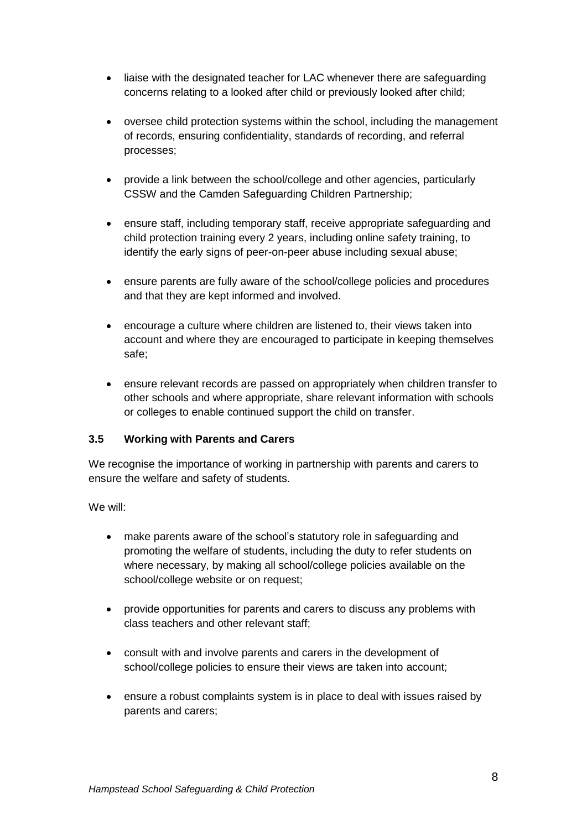- liaise with the designated teacher for LAC whenever there are safeguarding concerns relating to a looked after child or previously looked after child;
- oversee child protection systems within the school, including the management of records, ensuring confidentiality, standards of recording, and referral processes;
- provide a link between the school/college and other agencies, particularly CSSW and the Camden Safeguarding Children Partnership;
- ensure staff, including temporary staff, receive appropriate safeguarding and child protection training every 2 years, including online safety training, to identify the early signs of peer-on-peer abuse including sexual abuse;
- ensure parents are fully aware of the school/college policies and procedures and that they are kept informed and involved.
- encourage a culture where children are listened to, their views taken into account and where they are encouraged to participate in keeping themselves safe;
- ensure relevant records are passed on appropriately when children transfer to other schools and where appropriate, share relevant information with schools or colleges to enable continued support the child on transfer.

## **3.5 Working with Parents and Carers**

We recognise the importance of working in partnership with parents and carers to ensure the welfare and safety of students.

We will:

- make parents aware of the school's statutory role in safeguarding and promoting the welfare of students, including the duty to refer students on where necessary, by making all school/college policies available on the school/college website or on request;
- provide opportunities for parents and carers to discuss any problems with class teachers and other relevant staff;
- consult with and involve parents and carers in the development of school/college policies to ensure their views are taken into account;
- ensure a robust complaints system is in place to deal with issues raised by parents and carers;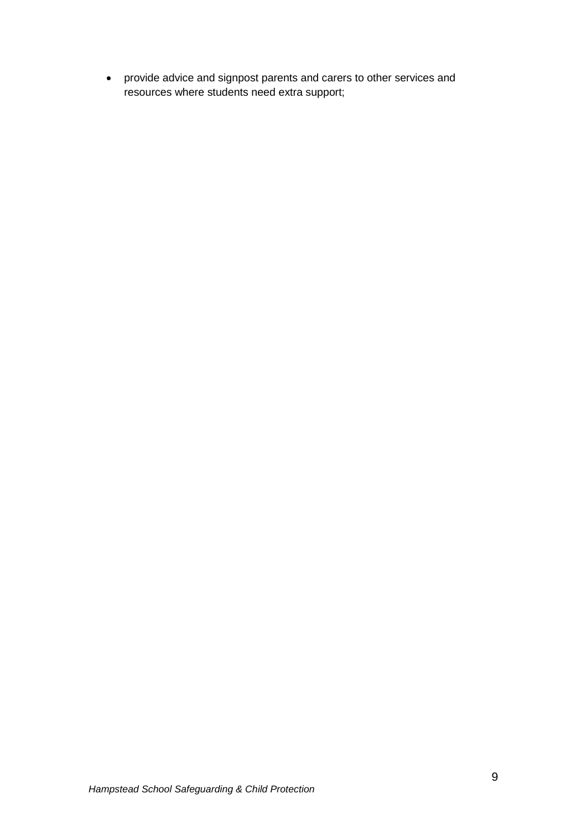provide advice and signpost parents and carers to other services and resources where students need extra support;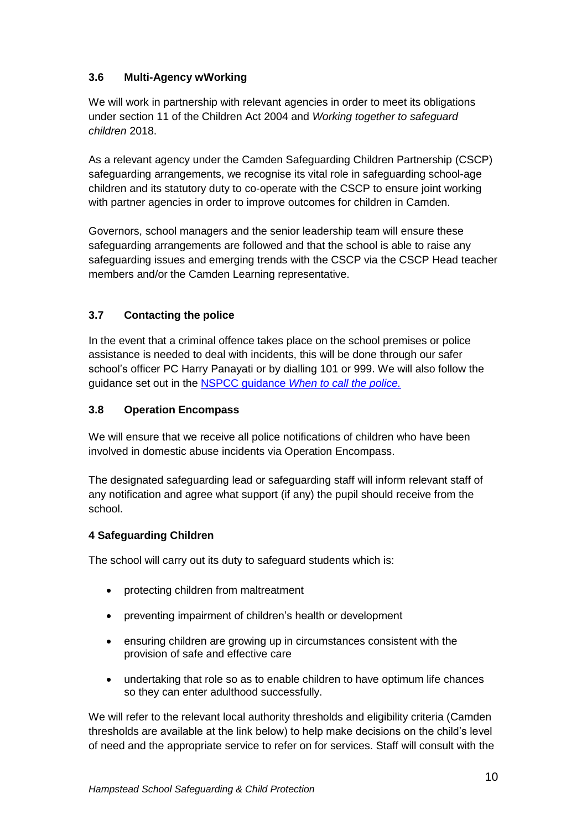## **3.6 Multi-Agency wWorking**

We will work in partnership with relevant agencies in order to meet its obligations under section 11 of the Children Act 2004 and *Working together to safeguard children* 2018.

As a relevant agency under the Camden Safeguarding Children Partnership (CSCP) safeguarding arrangements, we recognise its vital role in safeguarding school-age children and its statutory duty to co-operate with the CSCP to ensure joint working with partner agencies in order to improve outcomes for children in Camden.

Governors, school managers and the senior leadership team will ensure these safeguarding arrangements are followed and that the school is able to raise any safeguarding issues and emerging trends with the CSCP via the CSCP Head teacher members and/or the Camden Learning representative.

## **3.7 Contacting the police**

In the event that a criminal offence takes place on the school premises or police assistance is needed to deal with incidents, this will be done through our safer school's officer PC Harry Panayati or by dialling 101 or 999. We will also follow the guidance set out in the NSPCC guidance *[When to call the police.](https://www.npcc.police.uk/documents/Children%20and%20Young%20people/When%20to%20call%20the%20police%20guidance%20for%20schools%20and%20colleges.pdf)*

## **3.8 Operation Encompass**

We will ensure that we receive all police notifications of children who have been involved in domestic abuse incidents via Operation Encompass.

The designated safeguarding lead or safeguarding staff will inform relevant staff of any notification and agree what support (if any) the pupil should receive from the school.

## **4 Safeguarding Children**

The school will carry out its duty to safeguard students which is:

- protecting children from maltreatment
- preventing impairment of children's health or development
- ensuring children are growing up in circumstances consistent with the provision of safe and effective care
- undertaking that role so as to enable children to have optimum life chances so they can enter adulthood successfully.

We will refer to the relevant local authority thresholds and eligibility criteria (Camden thresholds are available at the link below) to help make decisions on the child's level of need and the appropriate service to refer on for services. Staff will consult with the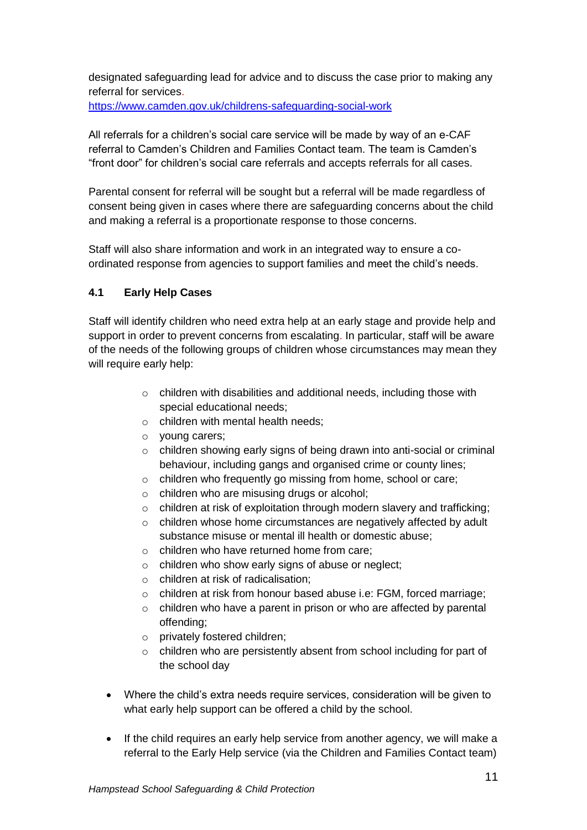designated safeguarding lead for advice and to discuss the case prior to making any referral for services.

<https://www.camden.gov.uk/childrens-safeguarding-social-work>

All referrals for a children's social care service will be made by way of an e-CAF referral to Camden's Children and Families Contact team. The team is Camden's "front door" for children's social care referrals and accepts referrals for all cases.

Parental consent for referral will be sought but a referral will be made regardless of consent being given in cases where there are safeguarding concerns about the child and making a referral is a proportionate response to those concerns.

Staff will also share information and work in an integrated way to ensure a coordinated response from agencies to support families and meet the child's needs.

## **4.1 Early Help Cases**

Staff will identify children who need extra help at an early stage and provide help and support in order to prevent concerns from escalating. In particular, staff will be aware of the needs of the following groups of children whose circumstances may mean they will require early help:

- o children with disabilities and additional needs, including those with special educational needs;
- o children with mental health needs;
- o young carers;
- o children showing early signs of being drawn into anti-social or criminal behaviour, including gangs and organised crime or county lines;
- o children who frequently go missing from home, school or care;
- o children who are misusing drugs or alcohol;
- o children at risk of exploitation through modern slavery and trafficking;
- o children whose home circumstances are negatively affected by adult substance misuse or mental ill health or domestic abuse;
- $\circ$  children who have returned home from care:
- o children who show early signs of abuse or neglect;
- o children at risk of radicalisation;
- o children at risk from honour based abuse i.e: FGM, forced marriage;
- o children who have a parent in prison or who are affected by parental offending;
- o privately fostered children;
- o children who are persistently absent from school including for part of the school day
- Where the child's extra needs require services, consideration will be given to what early help support can be offered a child by the school.
- If the child requires an early help service from another agency, we will make a referral to the Early Help service (via the Children and Families Contact team)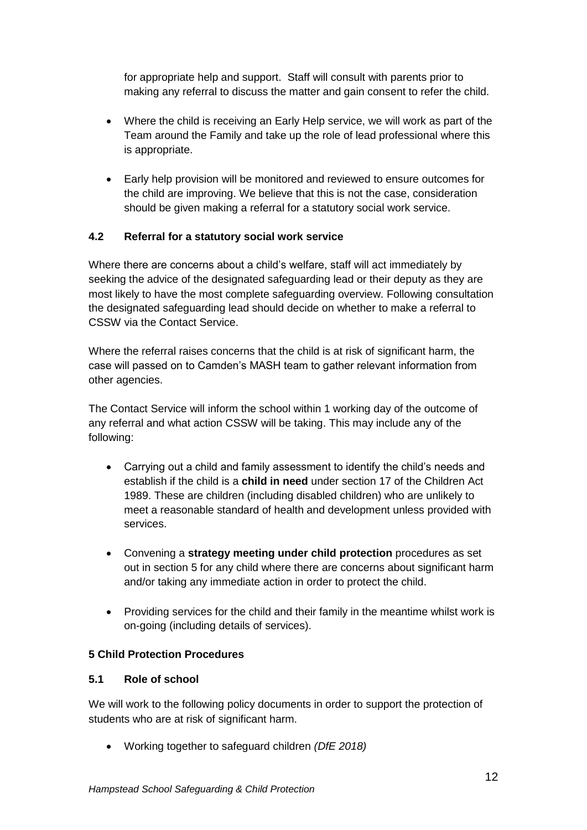for appropriate help and support. Staff will consult with parents prior to making any referral to discuss the matter and gain consent to refer the child.

- Where the child is receiving an Early Help service, we will work as part of the Team around the Family and take up the role of lead professional where this is appropriate.
- Early help provision will be monitored and reviewed to ensure outcomes for the child are improving. We believe that this is not the case, consideration should be given making a referral for a statutory social work service.

### **4.2 Referral for a statutory social work service**

Where there are concerns about a child's welfare, staff will act immediately by seeking the advice of the designated safeguarding lead or their deputy as they are most likely to have the most complete safeguarding overview. Following consultation the designated safeguarding lead should decide on whether to make a referral to CSSW via the Contact Service.

Where the referral raises concerns that the child is at risk of significant harm, the case will passed on to Camden's MASH team to gather relevant information from other agencies.

The Contact Service will inform the school within 1 working day of the outcome of any referral and what action CSSW will be taking. This may include any of the following:

- Carrying out a child and family assessment to identify the child's needs and establish if the child is a **child in need** under section 17 of the Children Act 1989. These are children (including disabled children) who are unlikely to meet a reasonable standard of health and development unless provided with services.
- Convening a **strategy meeting under child protection** procedures as set out in section 5 for any child where there are concerns about significant harm and/or taking any immediate action in order to protect the child.
- Providing services for the child and their family in the meantime whilst work is on-going (including details of services).

#### **5 Child Protection Procedures**

#### **5.1 Role of school**

We will work to the following policy documents in order to support the protection of students who are at risk of significant harm.

Working together to safeguard children *(DfE 2018)*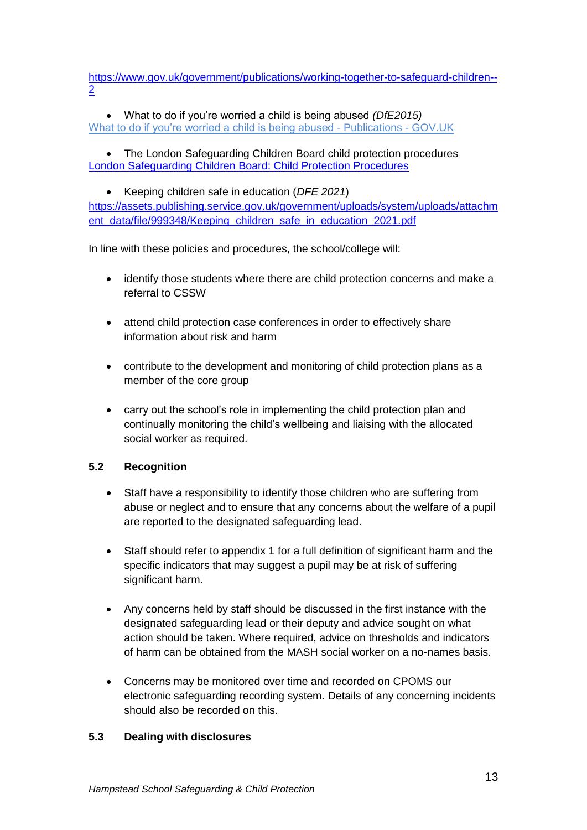[https://www.gov.uk/government/publications/working-together-to-safeguard-children--](https://www.gov.uk/government/publications/working-together-to-safeguard-children--2) [2](https://www.gov.uk/government/publications/working-together-to-safeguard-children--2)

 What to do if you're worried a child is being abused *(DfE2015)* [What to do if you're worried a child is being abused -](https://www.gov.uk/government/publications/what-to-do-if-youre-worried-a-child-is-being-abused--2) Publications - GOV.UK

 The London Safeguarding Children Board child protection procedures [London Safeguarding Children Board: Child Protection Procedures](http://www.londoncp.co.uk/)

 Keeping children safe in education (*DFE 2021*) [https://assets.publishing.service.gov.uk/government/uploads/system/uploads/attachm](https://assets.publishing.service.gov.uk/government/uploads/system/uploads/attachment_data/file/999348/Keeping_children_safe_in_education_2021.pdf) [ent\\_data/file/999348/Keeping\\_children\\_safe\\_in\\_education\\_2021.pdf](https://assets.publishing.service.gov.uk/government/uploads/system/uploads/attachment_data/file/999348/Keeping_children_safe_in_education_2021.pdf)

In line with these policies and procedures, the school/college will:

- identify those students where there are child protection concerns and make a referral to CSSW
- attend child protection case conferences in order to effectively share information about risk and harm
- contribute to the development and monitoring of child protection plans as a member of the core group
- carry out the school's role in implementing the child protection plan and continually monitoring the child's wellbeing and liaising with the allocated social worker as required.

## **5.2 Recognition**

- Staff have a responsibility to identify those children who are suffering from abuse or neglect and to ensure that any concerns about the welfare of a pupil are reported to the designated safeguarding lead.
- Staff should refer to appendix 1 for a full definition of significant harm and the specific indicators that may suggest a pupil may be at risk of suffering significant harm.
- Any concerns held by staff should be discussed in the first instance with the designated safeguarding lead or their deputy and advice sought on what action should be taken. Where required, advice on thresholds and indicators of harm can be obtained from the MASH social worker on a no-names basis.
- Concerns may be monitored over time and recorded on CPOMS our electronic safeguarding recording system. Details of any concerning incidents should also be recorded on this.

## **5.3 Dealing with disclosures**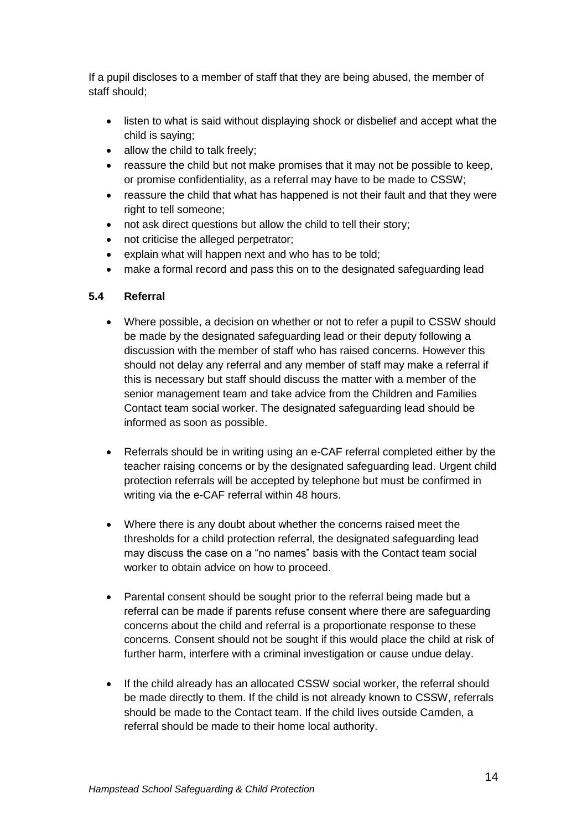If a pupil discloses to a member of staff that they are being abused, the member of staff should;

- listen to what is said without displaying shock or disbelief and accept what the child is saying;
- allow the child to talk freely;
- reassure the child but not make promises that it may not be possible to keep, or promise confidentiality, as a referral may have to be made to CSSW;
- reassure the child that what has happened is not their fault and that they were right to tell someone;
- not ask direct questions but allow the child to tell their story;
- not criticise the alleged perpetrator;
- explain what will happen next and who has to be told;
- make a formal record and pass this on to the designated safeguarding lead

## **5.4 Referral**

- Where possible, a decision on whether or not to refer a pupil to CSSW should be made by the designated safeguarding lead or their deputy following a discussion with the member of staff who has raised concerns. However this should not delay any referral and any member of staff may make a referral if this is necessary but staff should discuss the matter with a member of the senior management team and take advice from the Children and Families Contact team social worker. The designated safeguarding lead should be informed as soon as possible.
- Referrals should be in writing using an e-CAF referral completed either by the teacher raising concerns or by the designated safeguarding lead. Urgent child protection referrals will be accepted by telephone but must be confirmed in writing via the e-CAF referral within 48 hours.
- Where there is any doubt about whether the concerns raised meet the thresholds for a child protection referral, the designated safeguarding lead may discuss the case on a "no names" basis with the Contact team social worker to obtain advice on how to proceed.
- Parental consent should be sought prior to the referral being made but a referral can be made if parents refuse consent where there are safeguarding concerns about the child and referral is a proportionate response to these concerns. Consent should not be sought if this would place the child at risk of further harm, interfere with a criminal investigation or cause undue delay.
- If the child already has an allocated CSSW social worker, the referral should be made directly to them. If the child is not already known to CSSW, referrals should be made to the Contact team. If the child lives outside Camden, a referral should be made to their home local authority.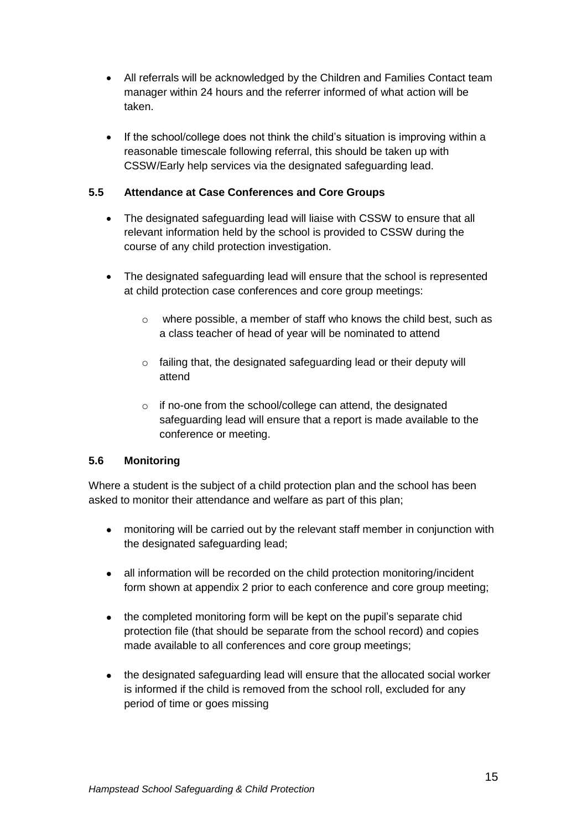- All referrals will be acknowledged by the Children and Families Contact team manager within 24 hours and the referrer informed of what action will be taken.
- If the school/college does not think the child's situation is improving within a reasonable timescale following referral, this should be taken up with CSSW/Early help services via the designated safeguarding lead.

## **5.5 Attendance at Case Conferences and Core Groups**

- The designated safeguarding lead will liaise with CSSW to ensure that all relevant information held by the school is provided to CSSW during the course of any child protection investigation.
- The designated safeguarding lead will ensure that the school is represented at child protection case conferences and core group meetings:
	- o where possible, a member of staff who knows the child best, such as a class teacher of head of year will be nominated to attend
	- $\circ$  failing that, the designated safeguarding lead or their deputy will attend
	- o if no-one from the school/college can attend, the designated safeguarding lead will ensure that a report is made available to the conference or meeting.

## **5.6 Monitoring**

Where a student is the subject of a child protection plan and the school has been asked to monitor their attendance and welfare as part of this plan;

- monitoring will be carried out by the relevant staff member in conjunction with the designated safeguarding lead;
- all information will be recorded on the child protection monitoring/incident form shown at appendix 2 prior to each conference and core group meeting;
- the completed monitoring form will be kept on the pupil's separate chid protection file (that should be separate from the school record) and copies made available to all conferences and core group meetings;
- the designated safeguarding lead will ensure that the allocated social worker is informed if the child is removed from the school roll, excluded for any period of time or goes missing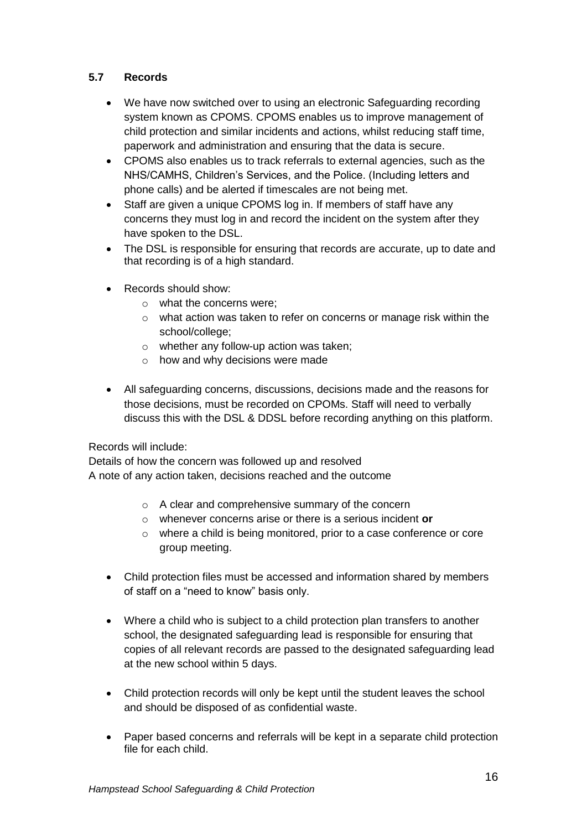## **5.7 Records**

- We have now switched over to using an electronic Safeguarding recording system known as CPOMS. CPOMS enables us to improve management of child protection and similar incidents and actions, whilst reducing staff time, paperwork and administration and ensuring that the data is secure.
- CPOMS also enables us to track referrals to external agencies, such as the NHS/CAMHS, Children's Services, and the Police. (Including letters and phone calls) and be alerted if timescales are not being met.
- Staff are given a unique CPOMS log in. If members of staff have any concerns they must log in and record the incident on the system after they have spoken to the DSL.
- The DSL is responsible for ensuring that records are accurate, up to date and that recording is of a high standard.
- Records should show:
	- o what the concerns were;
	- o what action was taken to refer on concerns or manage risk within the school/college;
	- o whether any follow-up action was taken;
	- o how and why decisions were made
- All safeguarding concerns, discussions, decisions made and the reasons for those decisions, must be recorded on CPOMs. Staff will need to verbally discuss this with the DSL & DDSL before recording anything on this platform.

#### Records will include:

Details of how the concern was followed up and resolved A note of any action taken, decisions reached and the outcome

- o A clear and comprehensive summary of the concern
- o whenever concerns arise or there is a serious incident **or**
- o where a child is being monitored, prior to a case conference or core group meeting.
- Child protection files must be accessed and information shared by members of staff on a "need to know" basis only.
- Where a child who is subject to a child protection plan transfers to another school, the designated safeguarding lead is responsible for ensuring that copies of all relevant records are passed to the designated safeguarding lead at the new school within 5 days.
- Child protection records will only be kept until the student leaves the school and should be disposed of as confidential waste.
- Paper based concerns and referrals will be kept in a separate child protection file for each child.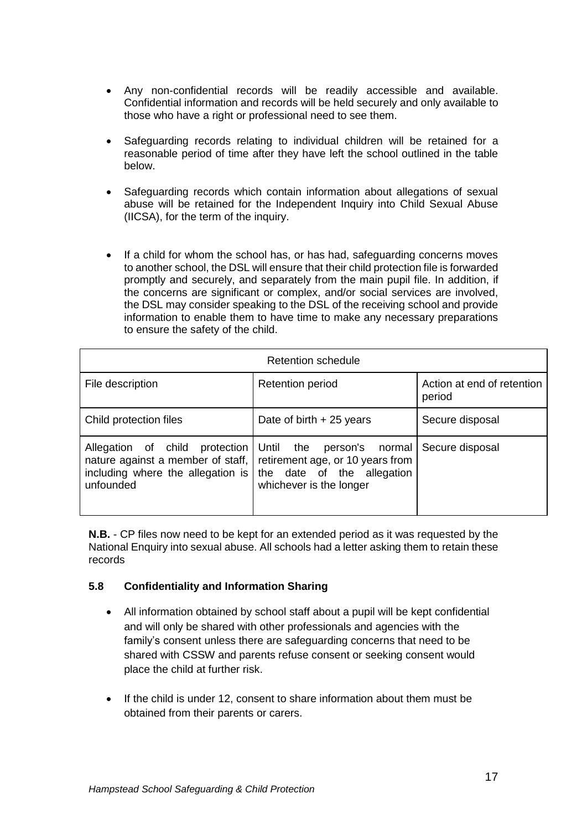- Any non-confidential records will be readily accessible and available. Confidential information and records will be held securely and only available to those who have a right or professional need to see them.
- Safeguarding records relating to individual children will be retained for a reasonable period of time after they have left the school outlined in the table below.
- Safeguarding records which contain information about allegations of sexual abuse will be retained for the Independent Inquiry into Child Sexual Abuse (IICSA), for the term of the inquiry.
- If a child for whom the school has, or has had, safeguarding concerns moves to another school, the DSL will ensure that their child protection file is forwarded promptly and securely, and separately from the main pupil file. In addition, if the concerns are significant or complex, and/or social services are involved, the DSL may consider speaking to the DSL of the receiving school and provide information to enable them to have time to make any necessary preparations to ensure the safety of the child.

| Retention schedule                                                                                                      |                                                                                                                        |                                      |  |
|-------------------------------------------------------------------------------------------------------------------------|------------------------------------------------------------------------------------------------------------------------|--------------------------------------|--|
| File description                                                                                                        | <b>Retention period</b>                                                                                                | Action at end of retention<br>period |  |
| Child protection files                                                                                                  | Date of birth $+25$ years                                                                                              | Secure disposal                      |  |
| Allegation of child protection<br>nature against a member of staff,  <br>including where the allegation is<br>unfounded | Until the person's normal<br>retirement age, or 10 years from<br>the date of the allegation<br>whichever is the longer | Secure disposal                      |  |

**N.B.** - CP files now need to be kept for an extended period as it was requested by the National Enquiry into sexual abuse. All schools had a letter asking them to retain these records

## **5.8 Confidentiality and Information Sharing**

- All information obtained by school staff about a pupil will be kept confidential and will only be shared with other professionals and agencies with the family's consent unless there are safeguarding concerns that need to be shared with CSSW and parents refuse consent or seeking consent would place the child at further risk.
- If the child is under 12, consent to share information about them must be obtained from their parents or carers.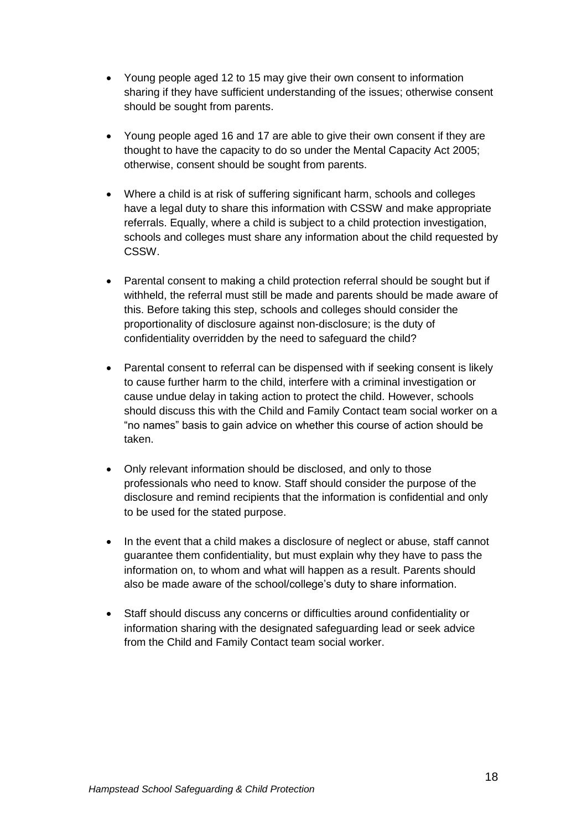- Young people aged 12 to 15 may give their own consent to information sharing if they have sufficient understanding of the issues; otherwise consent should be sought from parents.
- Young people aged 16 and 17 are able to give their own consent if they are thought to have the capacity to do so under the Mental Capacity Act 2005; otherwise, consent should be sought from parents.
- Where a child is at risk of suffering significant harm, schools and colleges have a legal duty to share this information with CSSW and make appropriate referrals. Equally, where a child is subject to a child protection investigation, schools and colleges must share any information about the child requested by CSSW.
- Parental consent to making a child protection referral should be sought but if withheld, the referral must still be made and parents should be made aware of this. Before taking this step, schools and colleges should consider the proportionality of disclosure against non-disclosure; is the duty of confidentiality overridden by the need to safeguard the child?
- Parental consent to referral can be dispensed with if seeking consent is likely to cause further harm to the child, interfere with a criminal investigation or cause undue delay in taking action to protect the child. However, schools should discuss this with the Child and Family Contact team social worker on a "no names" basis to gain advice on whether this course of action should be taken.
- Only relevant information should be disclosed, and only to those professionals who need to know. Staff should consider the purpose of the disclosure and remind recipients that the information is confidential and only to be used for the stated purpose.
- In the event that a child makes a disclosure of neglect or abuse, staff cannot guarantee them confidentiality, but must explain why they have to pass the information on, to whom and what will happen as a result. Parents should also be made aware of the school/college's duty to share information.
- Staff should discuss any concerns or difficulties around confidentiality or information sharing with the designated safeguarding lead or seek advice from the Child and Family Contact team social worker.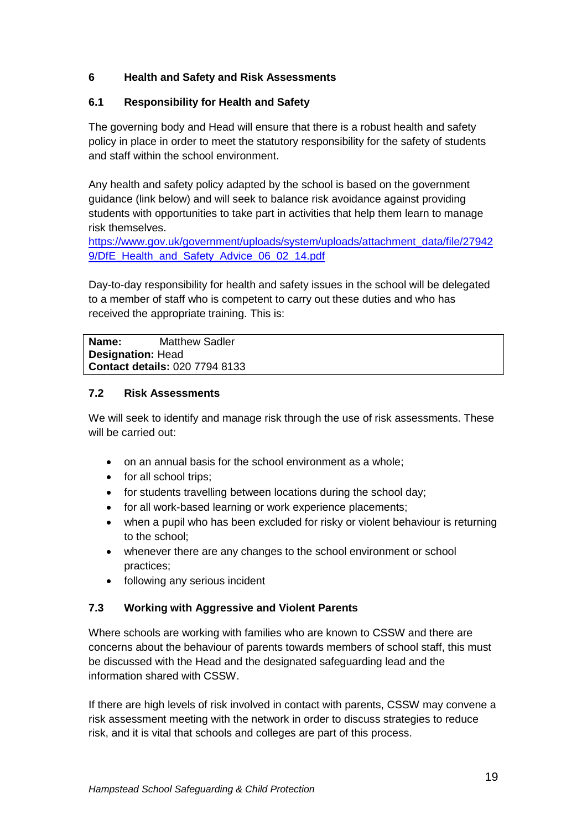## **6 Health and Safety and Risk Assessments**

## **6.1 Responsibility for Health and Safety**

The governing body and Head will ensure that there is a robust health and safety policy in place in order to meet the statutory responsibility for the safety of students and staff within the school environment.

Any health and safety policy adapted by the school is based on the government guidance (link below) and will seek to balance risk avoidance against providing students with opportunities to take part in activities that help them learn to manage risk themselves.

[https://www.gov.uk/government/uploads/system/uploads/attachment\\_data/file/27942](https://www.gov.uk/government/uploads/system/uploads/attachment_data/file/279429/DfE_Health_and_Safety_Advice_06_02_14.pdf) [9/DfE\\_Health\\_and\\_Safety\\_Advice\\_06\\_02\\_14.pdf](https://www.gov.uk/government/uploads/system/uploads/attachment_data/file/279429/DfE_Health_and_Safety_Advice_06_02_14.pdf)

Day-to-day responsibility for health and safety issues in the school will be delegated to a member of staff who is competent to carry out these duties and who has received the appropriate training. This is:

**Name:** Matthew Sadler **Designation:** Head **Contact details:** 020 7794 8133

#### **7.2 Risk Assessments**

We will seek to identify and manage risk through the use of risk assessments. These will be carried out:

- on an annual basis for the school environment as a whole;
- for all school trips;
- for students travelling between locations during the school day;
- for all work-based learning or work experience placements;
- when a pupil who has been excluded for risky or violent behaviour is returning to the school;
- whenever there are any changes to the school environment or school practices;
- following any serious incident

#### **7.3 Working with Aggressive and Violent Parents**

Where schools are working with families who are known to CSSW and there are concerns about the behaviour of parents towards members of school staff, this must be discussed with the Head and the designated safeguarding lead and the information shared with CSSW.

If there are high levels of risk involved in contact with parents, CSSW may convene a risk assessment meeting with the network in order to discuss strategies to reduce risk, and it is vital that schools and colleges are part of this process.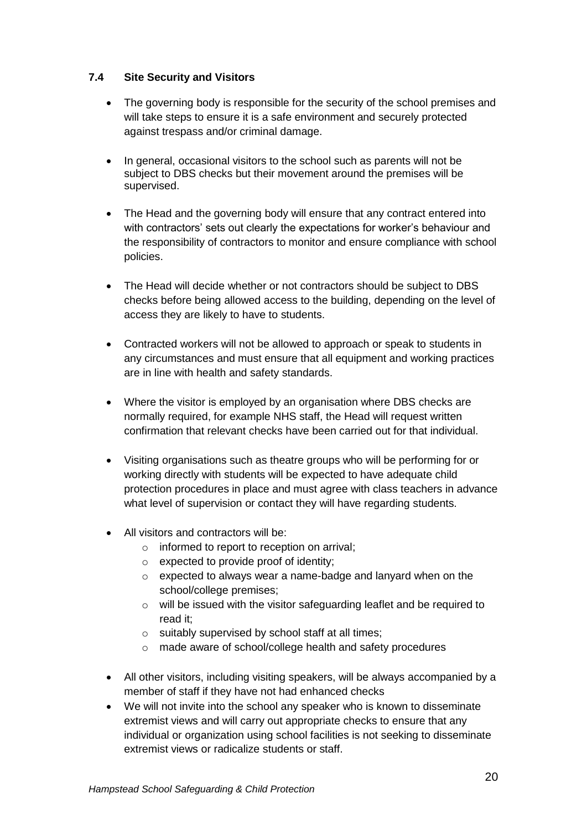## **7.4 Site Security and Visitors**

- The governing body is responsible for the security of the school premises and will take steps to ensure it is a safe environment and securely protected against trespass and/or criminal damage.
- In general, occasional visitors to the school such as parents will not be subject to DBS checks but their movement around the premises will be supervised.
- The Head and the governing body will ensure that any contract entered into with contractors' sets out clearly the expectations for worker's behaviour and the responsibility of contractors to monitor and ensure compliance with school policies.
- The Head will decide whether or not contractors should be subject to DBS checks before being allowed access to the building, depending on the level of access they are likely to have to students.
- Contracted workers will not be allowed to approach or speak to students in any circumstances and must ensure that all equipment and working practices are in line with health and safety standards.
- Where the visitor is employed by an organisation where DBS checks are normally required, for example NHS staff, the Head will request written confirmation that relevant checks have been carried out for that individual.
- Visiting organisations such as theatre groups who will be performing for or working directly with students will be expected to have adequate child protection procedures in place and must agree with class teachers in advance what level of supervision or contact they will have regarding students.
- All visitors and contractors will be:
	- $\circ$  informed to report to reception on arrival:
	- o expected to provide proof of identity;
	- o expected to always wear a name-badge and lanyard when on the school/college premises;
	- o will be issued with the visitor safeguarding leaflet and be required to read it;
	- o suitably supervised by school staff at all times;
	- o made aware of school/college health and safety procedures
- All other visitors, including visiting speakers, will be always accompanied by a member of staff if they have not had enhanced checks
- We will not invite into the school any speaker who is known to disseminate extremist views and will carry out appropriate checks to ensure that any individual or organization using school facilities is not seeking to disseminate extremist views or radicalize students or staff.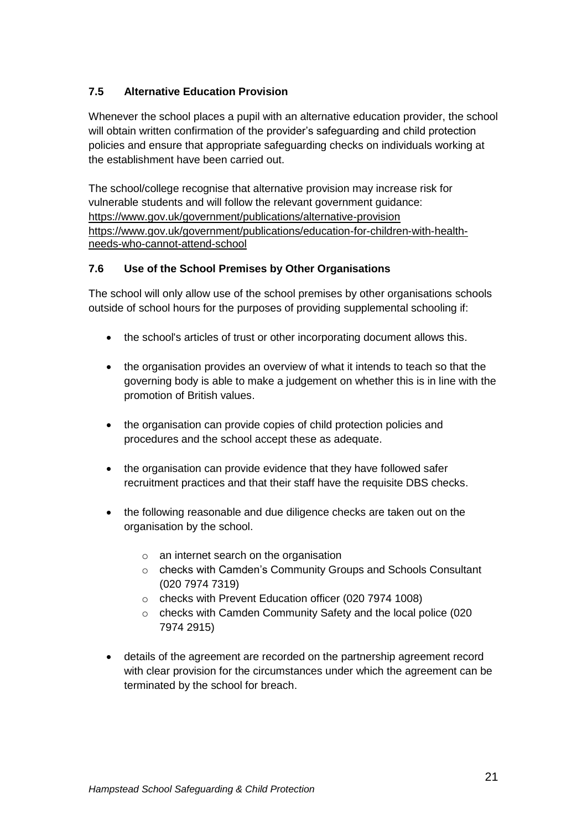## **7.5 Alternative Education Provision**

Whenever the school places a pupil with an alternative education provider, the school will obtain written confirmation of the provider's safeguarding and child protection policies and ensure that appropriate safeguarding checks on individuals working at the establishment have been carried out.

The school/college recognise that alternative provision may increase risk for vulnerable students and will follow the relevant government guidance: <https://www.gov.uk/government/publications/alternative-provision> [https://www.gov.uk/government/publications/education-for-children-with-health](https://www.gov.uk/government/publications/education-for-children-with-health-needs-who-cannot-attend-school)[needs-who-cannot-attend-school](https://www.gov.uk/government/publications/education-for-children-with-health-needs-who-cannot-attend-school)

## **7.6 Use of the School Premises by Other Organisations**

The school will only allow use of the school premises by other organisations schools outside of school hours for the purposes of providing supplemental schooling if:

- the school's articles of trust or other incorporating document allows this.
- the organisation provides an overview of what it intends to teach so that the governing body is able to make a judgement on whether this is in line with the promotion of British values.
- the organisation can provide copies of child protection policies and procedures and the school accept these as adequate.
- the organisation can provide evidence that they have followed safer recruitment practices and that their staff have the requisite DBS checks.
- the following reasonable and due diligence checks are taken out on the organisation by the school.
	- o an internet search on the organisation
	- o checks with Camden's Community Groups and Schools Consultant (020 7974 7319)
	- o checks with Prevent Education officer (020 7974 1008)
	- o checks with Camden Community Safety and the local police (020 7974 2915)
- details of the agreement are recorded on the partnership agreement record with clear provision for the circumstances under which the agreement can be terminated by the school for breach.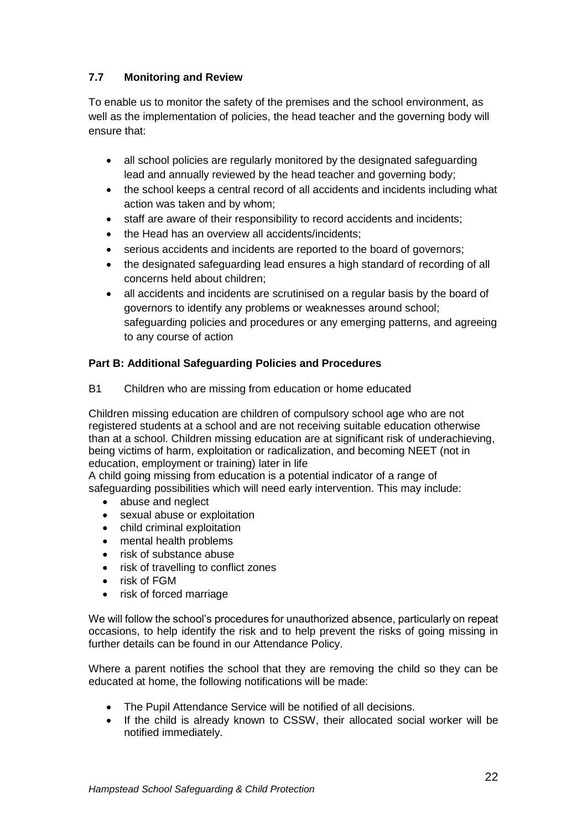## **7.7 Monitoring and Review**

To enable us to monitor the safety of the premises and the school environment, as well as the implementation of policies, the head teacher and the governing body will ensure that:

- all school policies are regularly monitored by the designated safeguarding lead and annually reviewed by the head teacher and governing body;
- the school keeps a central record of all accidents and incidents including what action was taken and by whom;
- staff are aware of their responsibility to record accidents and incidents;
- the Head has an overview all accidents/incidents;
- serious accidents and incidents are reported to the board of governors;
- the designated safeguarding lead ensures a high standard of recording of all concerns held about children;
- all accidents and incidents are scrutinised on a regular basis by the board of governors to identify any problems or weaknesses around school; safeguarding policies and procedures or any emerging patterns, and agreeing to any course of action

### **Part B: Additional Safeguarding Policies and Procedures**

B1 Children who are missing from education or home educated

Children missing education are children of compulsory school age who are not registered students at a school and are not receiving suitable education otherwise than at a school. Children missing education are at significant risk of underachieving, being victims of harm, exploitation or radicalization, and becoming NEET (not in education, employment or training) later in life

A child going missing from education is a potential indicator of a range of safeguarding possibilities which will need early intervention. This may include:

- abuse and neglect
- sexual abuse or exploitation
- child criminal exploitation
- mental health problems
- risk of substance abuse
- risk of travelling to conflict zones
- risk of FGM
- risk of forced marriage

We will follow the school's procedures for unauthorized absence, particularly on repeat occasions, to help identify the risk and to help prevent the risks of going missing in further details can be found in our Attendance Policy.

Where a parent notifies the school that they are removing the child so they can be educated at home, the following notifications will be made:

- The Pupil Attendance Service will be notified of all decisions.
- If the child is already known to CSSW, their allocated social worker will be notified immediately.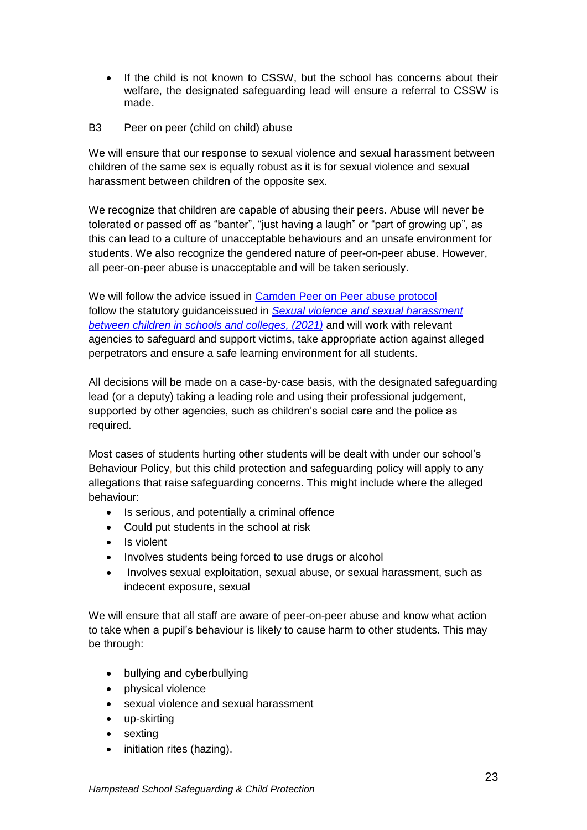• If the child is not known to CSSW, but the school has concerns about their welfare, the designated safeguarding lead will ensure a referral to CSSW is made.

### B3 Peer on peer (child on child) abuse

We will ensure that our response to sexual violence and sexual harassment between children of the same sex is equally robust as it is for sexual violence and sexual harassment between children of the opposite sex.

We recognize that children are capable of abusing their peers. Abuse will never be tolerated or passed off as "banter", "just having a laugh" or "part of growing up", as this can lead to a culture of unacceptable behaviours and an unsafe environment for students. We also recognize the gendered nature of peer-on-peer abuse. However, all peer-on-peer abuse is unacceptable and will be taken seriously.

We will follow the advice issued in [Camden Peer on Peer abuse protocol](https://view.officeapps.live.com/op/view.aspx?src=https%3A%2F%2Fcscp.org.uk%2Fwp-content%2Fuploads%2F2019%2F06%2FPeer-on-peer-abuse-protocol.docx&wdOrigin=BROWSELINK) follow the statutory guidanceissued in *[Sexual violence and sexual harassment](https://assets.publishing.service.gov.uk/government/uploads/system/uploads/attachment_data/file/1014224/Sexual_violence_and_sexual_harassment_between_children_in_schools_and_colleges.pdf)  [between children in schools and colleges, \(2021\)](https://assets.publishing.service.gov.uk/government/uploads/system/uploads/attachment_data/file/1014224/Sexual_violence_and_sexual_harassment_between_children_in_schools_and_colleges.pdf)* and will work with relevant agencies to safeguard and support victims, take appropriate action against alleged perpetrators and ensure a safe learning environment for all students.

All decisions will be made on a case-by-case basis, with the designated safeguarding lead (or a deputy) taking a leading role and using their professional judgement, supported by other agencies, such as children's social care and the police as required.

Most cases of students hurting other students will be dealt with under our school's Behaviour Policy, but this child protection and safeguarding policy will apply to any allegations that raise safeguarding concerns. This might include where the alleged behaviour:

- Is serious, and potentially a criminal offence
- Could put students in the school at risk
- Is violent
- Involves students being forced to use drugs or alcohol
- Involves sexual exploitation, sexual abuse, or sexual harassment, such as indecent exposure, sexual

We will ensure that all staff are aware of peer-on-peer abuse and know what action to take when a pupil's behaviour is likely to cause harm to other students. This may be through:

- bullying and cyberbullying
- physical violence
- sexual violence and sexual harassment
- up-skirting
- sexting
- initiation rites (hazing).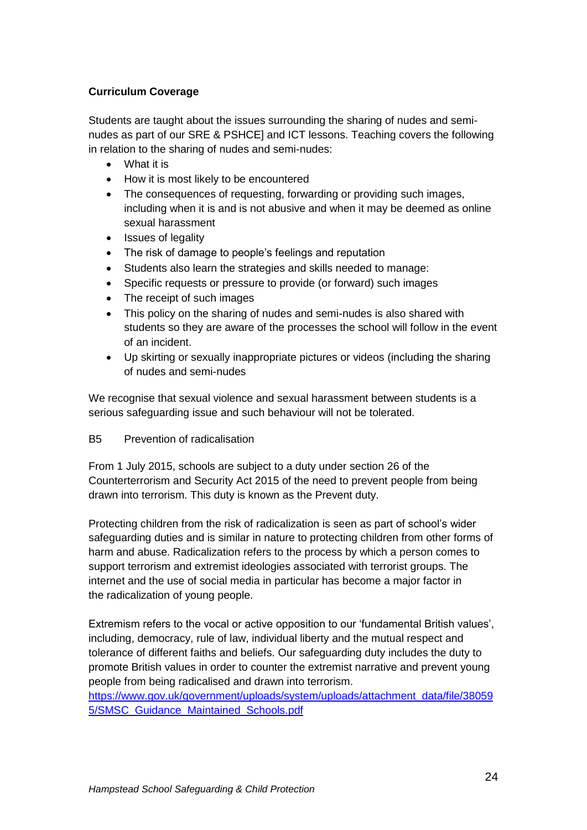### **Curriculum Coverage**

Students are taught about the issues surrounding the sharing of nudes and seminudes as part of our SRE & PSHCE] and ICT lessons. Teaching covers the following in relation to the sharing of nudes and semi-nudes:

- What it is
- How it is most likely to be encountered
- The consequences of requesting, forwarding or providing such images, including when it is and is not abusive and when it may be deemed as online sexual harassment
- Issues of legality
- The risk of damage to people's feelings and reputation
- Students also learn the strategies and skills needed to manage:
- Specific requests or pressure to provide (or forward) such images
- The receipt of such images
- This policy on the sharing of nudes and semi-nudes is also shared with students so they are aware of the processes the school will follow in the event of an incident.
- Up skirting or sexually inappropriate pictures or videos (including the sharing of nudes and semi-nudes

We recognise that sexual violence and sexual harassment between students is a serious safeguarding issue and such behaviour will not be tolerated.

#### B5 Prevention of radicalisation

From 1 July 2015, schools are subject to a duty under section 26 of the Counterterrorism and Security Act 2015 of the need to prevent people from being drawn into terrorism. This duty is known as the Prevent duty.

Protecting children from the risk of radicalization is seen as part of school's wider safeguarding duties and is similar in nature to protecting children from other forms of harm and abuse. Radicalization refers to the process by which a person comes to support terrorism and extremist ideologies associated with terrorist groups. The internet and the use of social media in particular has become a major factor in the radicalization of young people.

Extremism refers to the vocal or active opposition to our 'fundamental British values', including, democracy, rule of law, individual liberty and the mutual respect and tolerance of different faiths and beliefs. Our safeguarding duty includes the duty to promote British values in order to counter the extremist narrative and prevent young people from being radicalised and drawn into terrorism.

[https://www.gov.uk/government/uploads/system/uploads/attachment\\_data/file/38059](https://www.gov.uk/government/uploads/system/uploads/attachment_data/file/380595/SMSC_Guidance_Maintained_Schools.pdf) [5/SMSC\\_Guidance\\_Maintained\\_Schools.pdf](https://www.gov.uk/government/uploads/system/uploads/attachment_data/file/380595/SMSC_Guidance_Maintained_Schools.pdf)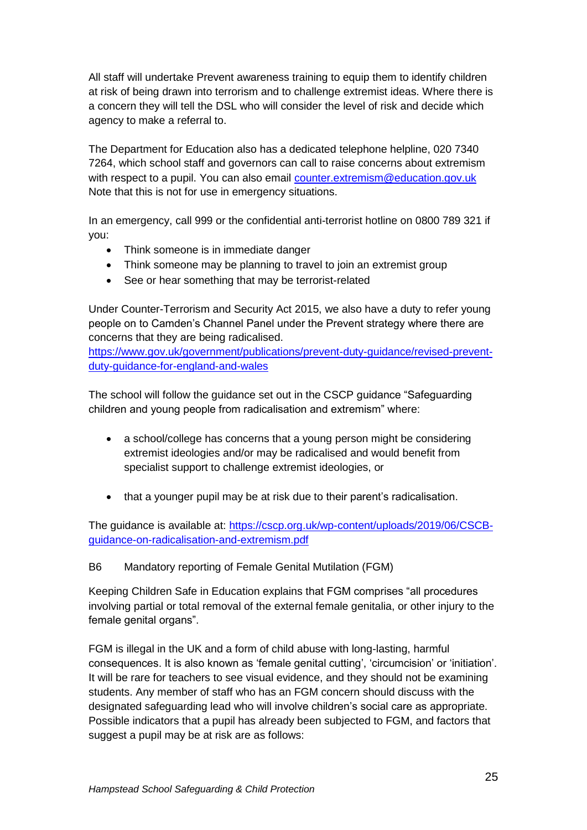All staff will undertake Prevent awareness training to equip them to identify children at risk of being drawn into terrorism and to challenge extremist ideas. Where there is a concern they will tell the DSL who will consider the level of risk and decide which agency to make a referral to.

The Department for Education also has a dedicated telephone helpline, 020 7340 7264, which school staff and governors can call to raise concerns about extremism with respect to a pupil. You can also email [counter.extremism@education.gov.uk](mailto:counter.extremism@education.gov.uk) Note that this is not for use in emergency situations.

In an emergency, call 999 or the confidential anti-terrorist hotline on 0800 789 321 if you:

- Think someone is in immediate danger
- Think someone may be planning to travel to join an extremist group
- See or hear something that may be terrorist-related

Under Counter-Terrorism and Security Act 2015, we also have a duty to refer young people on to Camden's Channel Panel under the Prevent strategy where there are concerns that they are being radicalised.

[https://www.gov.uk/government/publications/prevent-duty-guidance/revised-prevent](https://www.gov.uk/government/publications/prevent-duty-guidance/revised-prevent-duty-guidance-for-england-and-wales)[duty-guidance-for-england-and-wales](https://www.gov.uk/government/publications/prevent-duty-guidance/revised-prevent-duty-guidance-for-england-and-wales)

The school will follow the guidance set out in the CSCP guidance "Safeguarding children and young people from radicalisation and extremism" where:

- a school/college has concerns that a young person might be considering extremist ideologies and/or may be radicalised and would benefit from specialist support to challenge extremist ideologies, or
- that a younger pupil may be at risk due to their parent's radicalisation.

The guidance is available at: [https://cscp.org.uk/wp-content/uploads/2019/06/CSCB](https://cscp.org.uk/wp-content/uploads/2019/06/CSCB-guidance-on-radicalisation-and-extremism.pdf)[guidance-on-radicalisation-and-extremism.pdf](https://cscp.org.uk/wp-content/uploads/2019/06/CSCB-guidance-on-radicalisation-and-extremism.pdf)

#### B6 Mandatory reporting of Female Genital Mutilation (FGM)

Keeping Children Safe in Education explains that FGM comprises "all procedures involving partial or total removal of the external female genitalia, or other injury to the female genital organs".

FGM is illegal in the UK and a form of child abuse with long-lasting, harmful consequences. It is also known as 'female genital cutting', 'circumcision' or 'initiation'. It will be rare for teachers to see visual evidence, and they should not be examining students. Any member of staff who has an FGM concern should discuss with the designated safeguarding lead who will involve children's social care as appropriate. Possible indicators that a pupil has already been subjected to FGM, and factors that suggest a pupil may be at risk are as follows: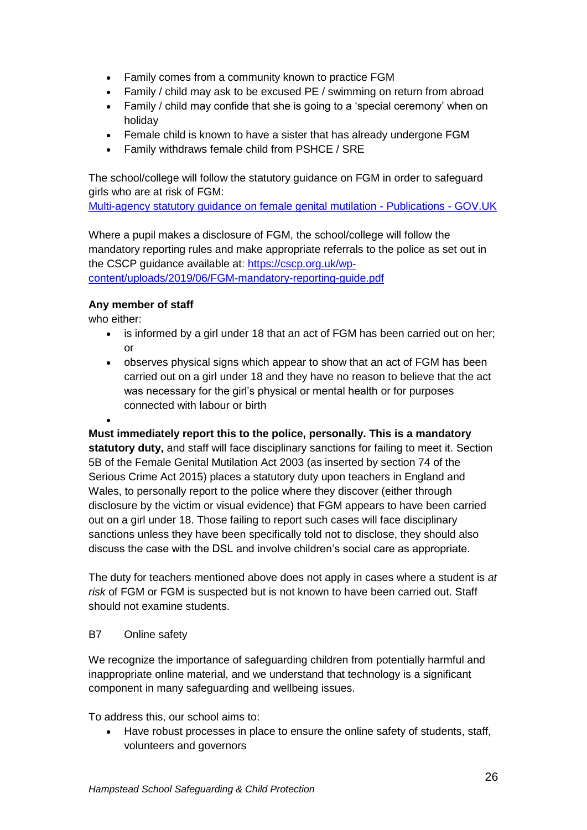- Family comes from a community known to practice FGM
- Family / child may ask to be excused PE / swimming on return from abroad
- Family / child may confide that she is going to a 'special ceremony' when on holiday
- Female child is known to have a sister that has already undergone FGM
- Family withdraws female child from PSHCE / SRE

The school/college will follow the statutory guidance on FGM in order to safeguard girls who are at risk of FGM:

[Multi-agency statutory guidance on female genital mutilation -](https://www.gov.uk/government/publications/multi-agency-statutory-guidance-on-female-genital-mutilation) Publications - GOV.UK

Where a pupil makes a disclosure of FGM, the school/college will follow the mandatory reporting rules and make appropriate referrals to the police as set out in the CSCP guidance available at: [https://cscp.org.uk/wp](https://cscp.org.uk/wp-content/uploads/2019/06/FGM-mandatory-reporting-guide.pdf)[content/uploads/2019/06/FGM-mandatory-reporting-guide.pdf](https://cscp.org.uk/wp-content/uploads/2019/06/FGM-mandatory-reporting-guide.pdf)

## **Any member of staff**

who either:

- is informed by a girl under 18 that an act of FGM has been carried out on her: or
- observes physical signs which appear to show that an act of FGM has been carried out on a girl under 18 and they have no reason to believe that the act was necessary for the girl's physical or mental health or for purposes connected with labour or birth

 $\bullet$ 

**Must immediately report this to the police, personally. This is a mandatory statutory duty,** and staff will face disciplinary sanctions for failing to meet it. Section 5B of the Female Genital Mutilation Act 2003 (as inserted by section 74 of the Serious Crime Act 2015) places a statutory duty upon teachers in England and Wales, to personally report to the police where they discover (either through disclosure by the victim or visual evidence) that FGM appears to have been carried out on a girl under 18. Those failing to report such cases will face disciplinary sanctions unless they have been specifically told not to disclose, they should also discuss the case with the DSL and involve children's social care as appropriate.

The duty for teachers mentioned above does not apply in cases where a student is *at risk* of FGM or FGM is suspected but is not known to have been carried out. Staff should not examine students.

#### B7 Online safety

We recognize the importance of safeguarding children from potentially harmful and inappropriate online material, and we understand that technology is a significant component in many safeguarding and wellbeing issues.

To address this, our school aims to:

 Have robust processes in place to ensure the online safety of students, staff, volunteers and governors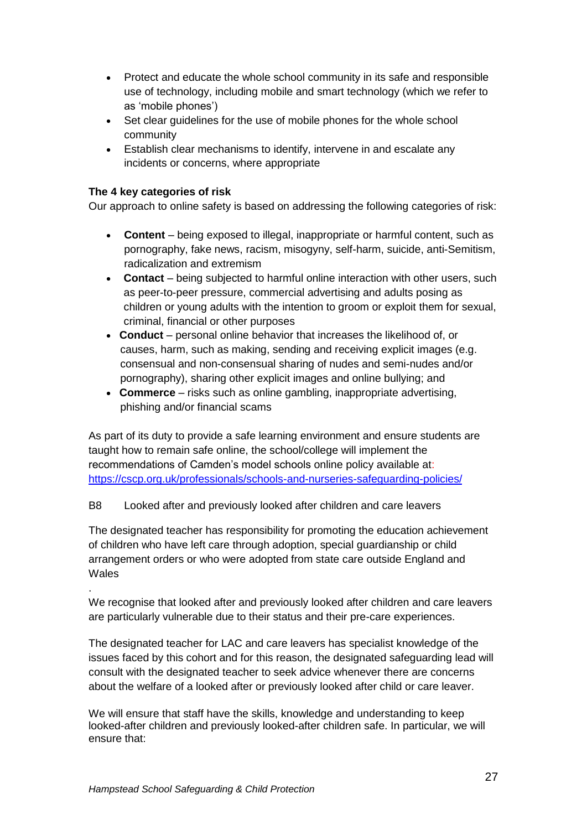- Protect and educate the whole school community in its safe and responsible use of technology, including mobile and smart technology (which we refer to as 'mobile phones')
- Set clear quidelines for the use of mobile phones for the whole school community
- Establish clear mechanisms to identify, intervene in and escalate any incidents or concerns, where appropriate

#### **The 4 key categories of risk**

.

Our approach to online safety is based on addressing the following categories of risk:

- **Content** being exposed to illegal, inappropriate or harmful content, such as pornography, fake news, racism, misogyny, self-harm, suicide, anti-Semitism, radicalization and extremism
- **Contact** being subjected to harmful online interaction with other users, such as peer-to-peer pressure, commercial advertising and adults posing as children or young adults with the intention to groom or exploit them for sexual, criminal, financial or other purposes
- **Conduct** personal online behavior that increases the likelihood of, or causes, harm, such as making, sending and receiving explicit images (e.g. consensual and non-consensual sharing of nudes and semi-nudes and/or pornography), sharing other explicit images and online bullying; and
- **Commerce** risks such as online gambling, inappropriate advertising, phishing and/or financial scams

As part of its duty to provide a safe learning environment and ensure students are taught how to remain safe online, the school/college will implement the recommendations of Camden's model schools online policy available at: <https://cscp.org.uk/professionals/schools-and-nurseries-safeguarding-policies/>

#### B8 Looked after and previously looked after children and care leavers

The designated teacher has responsibility for promoting the education achievement of children who have left care through adoption, special guardianship or child arrangement orders or who were adopted from state care outside England and **Wales** 

We recognise that looked after and previously looked after children and care leavers are particularly vulnerable due to their status and their pre-care experiences.

The designated teacher for LAC and care leavers has specialist knowledge of the issues faced by this cohort and for this reason, the designated safeguarding lead will consult with the designated teacher to seek advice whenever there are concerns about the welfare of a looked after or previously looked after child or care leaver.

We will ensure that staff have the skills, knowledge and understanding to keep looked-after children and previously looked-after children safe. In particular, we will ensure that: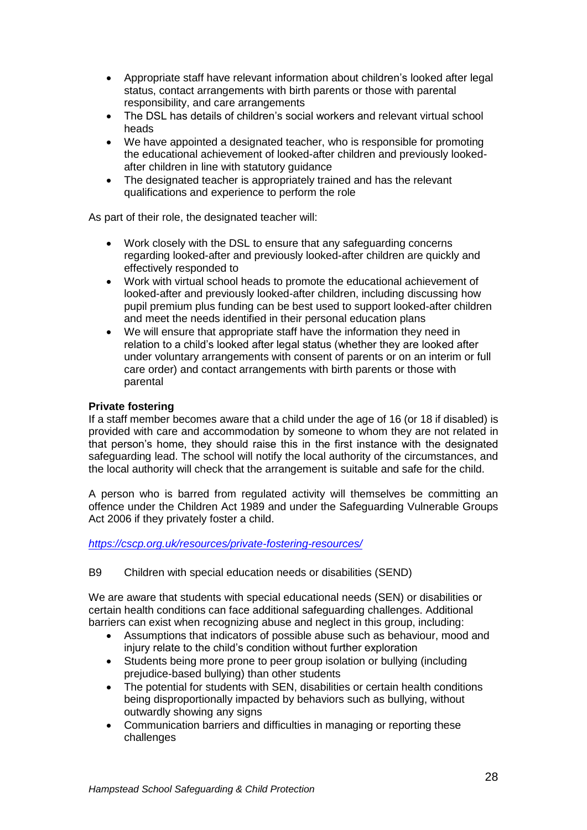- Appropriate staff have relevant information about children's looked after legal status, contact arrangements with birth parents or those with parental responsibility, and care arrangements
- The DSL has details of children's social workers and relevant virtual school heads
- We have appointed a designated teacher, who is responsible for promoting the educational achievement of looked-after children and previously lookedafter children in line with statutory guidance
- The designated teacher is appropriately trained and has the relevant qualifications and experience to perform the role

As part of their role, the designated teacher will:

- Work closely with the DSL to ensure that any safeguarding concerns regarding looked-after and previously looked-after children are quickly and effectively responded to
- Work with virtual school heads to promote the educational achievement of looked-after and previously looked-after children, including discussing how pupil premium plus funding can be best used to support looked-after children and meet the needs identified in their personal education plans
- We will ensure that appropriate staff have the information they need in relation to a child's looked after legal status (whether they are looked after under voluntary arrangements with consent of parents or on an interim or full care order) and contact arrangements with birth parents or those with parental

#### **Private fostering**

If a staff member becomes aware that a child under the age of 16 (or 18 if disabled) is provided with care and accommodation by someone to whom they are not related in that person's home, they should raise this in the first instance with the designated safeguarding lead. The school will notify the local authority of the circumstances, and the local authority will check that the arrangement is suitable and safe for the child.

A person who is barred from regulated activity will themselves be committing an offence under the Children Act 1989 and under the Safeguarding Vulnerable Groups Act 2006 if they privately foster a child.

*<https://cscp.org.uk/resources/private-fostering-resources/>*

B9 Children with special education needs or disabilities (SEND)

We are aware that students with special educational needs (SEN) or disabilities or certain health conditions can face additional safeguarding challenges. Additional barriers can exist when recognizing abuse and neglect in this group, including:

- Assumptions that indicators of possible abuse such as behaviour, mood and injury relate to the child's condition without further exploration
- Students being more prone to peer group isolation or bullying (including prejudice-based bullying) than other students
- The potential for students with SEN, disabilities or certain health conditions being disproportionally impacted by behaviors such as bullying, without outwardly showing any signs
- Communication barriers and difficulties in managing or reporting these challenges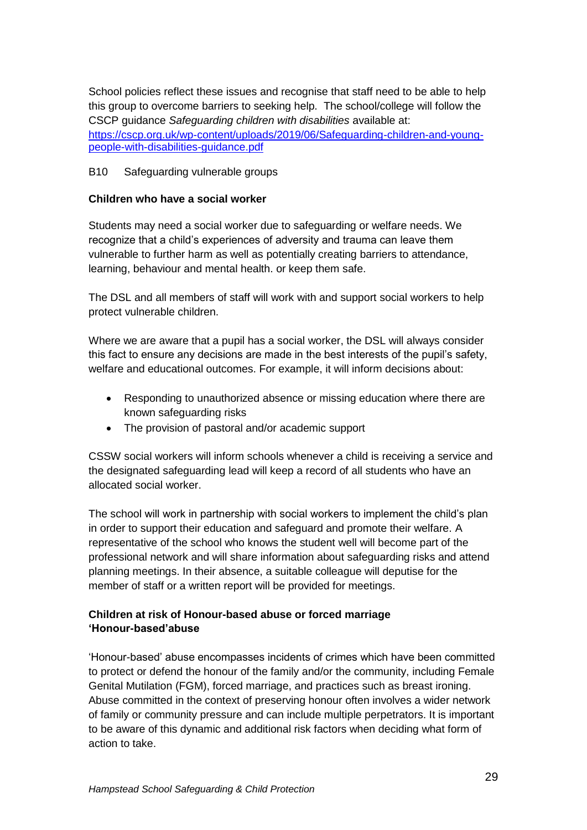School policies reflect these issues and recognise that staff need to be able to help this group to overcome barriers to seeking help. The school/college will follow the CSCP guidance *Safeguarding children with disabilities* available at: [https://cscp.org.uk/wp-content/uploads/2019/06/Safeguarding-children-and-young](https://cscp.org.uk/wp-content/uploads/2019/06/Safeguarding-children-and-young-people-with-disabilities-guidance.pdf)[people-with-disabilities-guidance.pdf](https://cscp.org.uk/wp-content/uploads/2019/06/Safeguarding-children-and-young-people-with-disabilities-guidance.pdf)

#### B10 Safeguarding vulnerable groups

#### **Children who have a social worker**

Students may need a social worker due to safeguarding or welfare needs. We recognize that a child's experiences of adversity and trauma can leave them vulnerable to further harm as well as potentially creating barriers to attendance, learning, behaviour and mental health. or keep them safe.

The DSL and all members of staff will work with and support social workers to help protect vulnerable children.

Where we are aware that a pupil has a social worker, the DSL will always consider this fact to ensure any decisions are made in the best interests of the pupil's safety, welfare and educational outcomes. For example, it will inform decisions about:

- Responding to unauthorized absence or missing education where there are known safeguarding risks
- The provision of pastoral and/or academic support

CSSW social workers will inform schools whenever a child is receiving a service and the designated safeguarding lead will keep a record of all students who have an allocated social worker.

The school will work in partnership with social workers to implement the child's plan in order to support their education and safeguard and promote their welfare. A representative of the school who knows the student well will become part of the professional network and will share information about safeguarding risks and attend planning meetings. In their absence, a suitable colleague will deputise for the member of staff or a written report will be provided for meetings.

## **Children at risk of Honour-based abuse or forced marriage 'Honour-based'abuse**

'Honour-based' abuse encompasses incidents of crimes which have been committed to protect or defend the honour of the family and/or the community, including Female Genital Mutilation (FGM), forced marriage, and practices such as breast ironing. Abuse committed in the context of preserving honour often involves a wider network of family or community pressure and can include multiple perpetrators. It is important to be aware of this dynamic and additional risk factors when deciding what form of action to take.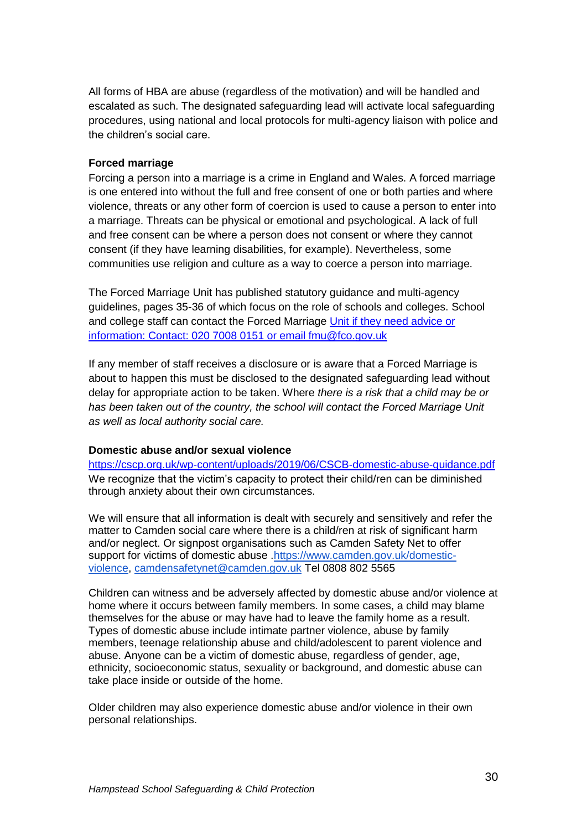All forms of HBA are abuse (regardless of the motivation) and will be handled and escalated as such. The designated safeguarding lead will activate local safeguarding procedures, using national and local protocols for multi-agency liaison with police and the children's social care.

#### **Forced marriage**

Forcing a person into a marriage is a crime in England and Wales. A forced marriage is one entered into without the full and free consent of one or both parties and where violence, threats or any other form of coercion is used to cause a person to enter into a marriage. Threats can be physical or emotional and psychological. A lack of full and free consent can be where a person does not consent or where they cannot consent (if they have learning disabilities, for example). Nevertheless, some communities use religion and culture as a way to coerce a person into marriage.

The Forced Marriage Unit has published statutory guidance and multi-agency guidelines, pages 35-36 of which focus on the role of schools and colleges. School and college staff can contact the Forced Marriage [Unit if they need advice or](mailto:02070080151oremailfmu@fco.gov.uk)  [information: Contact: 020 7008 0151 or email fmu@fco.gov.uk](mailto:02070080151oremailfmu@fco.gov.uk)

If any member of staff receives a disclosure or is aware that a Forced Marriage is about to happen this must be disclosed to the designated safeguarding lead without delay for appropriate action to be taken. Where *there is a risk that a child may be or*  has been taken out of the country, the school will contact the Forced Marriage Unit *as well as local authority social care.*

#### **Domestic abuse and/or sexual violence**

<https://cscp.org.uk/wp-content/uploads/2019/06/CSCB-domestic-abuse-guidance.pdf> We recognize that the victim's capacity to protect their child/ren can be diminished through anxiety about their own circumstances.

We will ensure that all information is dealt with securely and sensitively and refer the matter to Camden social care where there is a child/ren at risk of significant harm and/or neglect. Or signpost organisations such as Camden Safety Net to offer support for victims of domestic abuse [.https://www.camden.gov.uk/domestic](https://www.camden.gov.uk/domestic-violence)[violence,](https://www.camden.gov.uk/domestic-violence) [camdensafetynet@camden.gov.uk](mailto:camdensafetynet@camden.gov.uk) Tel 0808 802 5565

Children can witness and be adversely affected by domestic abuse and/or violence at home where it occurs between family members. In some cases, a child may blame themselves for the abuse or may have had to leave the family home as a result. Types of domestic abuse include intimate partner violence, abuse by family members, teenage relationship abuse and child/adolescent to parent violence and abuse. Anyone can be a victim of domestic abuse, regardless of gender, age, ethnicity, socioeconomic status, sexuality or background, and domestic abuse can take place inside or outside of the home.

Older children may also experience domestic abuse and/or violence in their own personal relationships.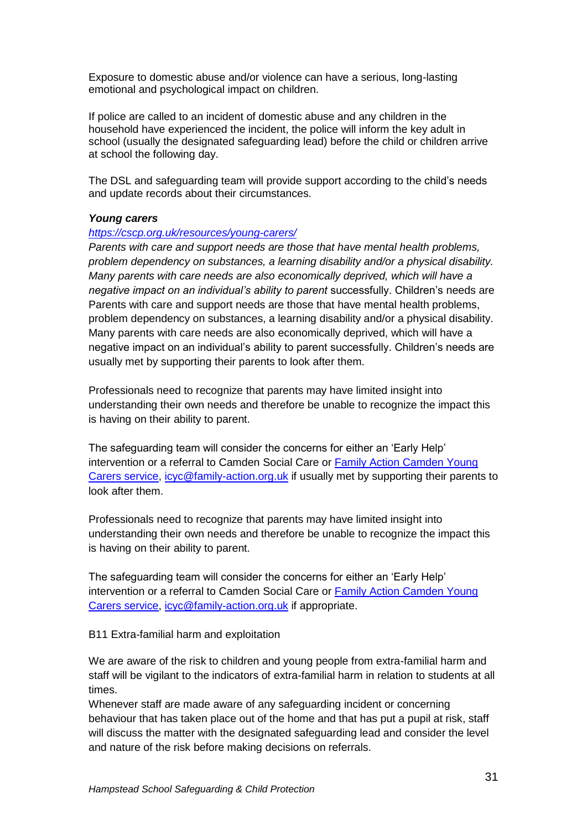Exposure to domestic abuse and/or violence can have a serious, long-lasting emotional and psychological impact on children.

If police are called to an incident of domestic abuse and any children in the household have experienced the incident, the police will inform the key adult in school (usually the designated safeguarding lead) before the child or children arrive at school the following day.

The DSL and safeguarding team will provide support according to the child's needs and update records about their circumstances.

#### *Young carers*

#### *<https://cscp.org.uk/resources/young-carers/>*

*Parents with care and support needs are those that have mental health problems, problem dependency on substances, a learning disability and/or a physical disability. Many parents with care needs are also economically deprived, which will have a negative impact on an individual's ability to parent* successfully. Children's needs are Parents with care and support needs are those that have mental health problems, problem dependency on substances, a learning disability and/or a physical disability. Many parents with care needs are also economically deprived, which will have a negative impact on an individual's ability to parent successfully. Children's needs are usually met by supporting their parents to look after them.

Professionals need to recognize that parents may have limited insight into understanding their own needs and therefore be unable to recognize the impact this is having on their ability to parent.

The safeguarding team will consider the concerns for either an 'Early Help' intervention or a referral to Camden Social Care or [Family Action Camden Young](https://www.family-action.org.uk/what-we-do/children-families/young-carers/)  [Carers service,](https://www.family-action.org.uk/what-we-do/children-families/young-carers/) [icyc@family-action.org.uk](mailto:icyc@family-action.org.uk) if usually met by supporting their parents to look after them.

Professionals need to recognize that parents may have limited insight into understanding their own needs and therefore be unable to recognize the impact this is having on their ability to parent.

The safeguarding team will consider the concerns for either an 'Early Help' intervention or a referral to Camden Social Care or [Family Action Camden Young](https://www.family-action.org.uk/what-we-do/children-families/young-carers/)  [Carers service,](https://www.family-action.org.uk/what-we-do/children-families/young-carers/) [icyc@family-action.org.uk](mailto:icyc@family-action.org.uk) if appropriate.

B11 Extra-familial harm and exploitation

We are aware of the risk to children and young people from extra-familial harm and staff will be vigilant to the indicators of extra-familial harm in relation to students at all times.

Whenever staff are made aware of any safeguarding incident or concerning behaviour that has taken place out of the home and that has put a pupil at risk, staff will discuss the matter with the designated safeguarding lead and consider the level and nature of the risk before making decisions on referrals.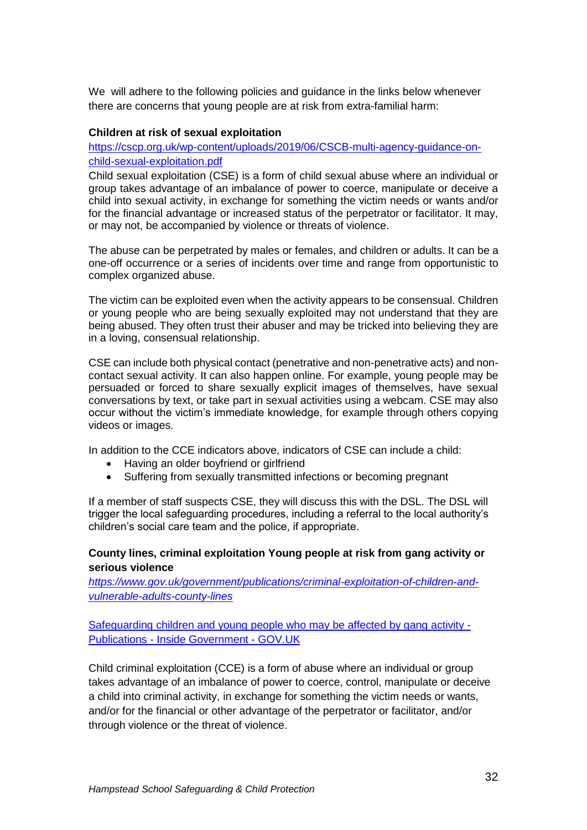We will adhere to the following policies and guidance in the links below whenever there are concerns that young people are at risk from extra-familial harm:

#### **Children at risk of sexual exploitation**

[https://cscp.org.uk/wp-content/uploads/2019/06/CSCB-multi-agency-guidance-on](https://cscp.org.uk/wp-content/uploads/2019/06/CSCB-multi-agency-guidance-on-child-sexual-exploitation.pdf)[child-sexual-exploitation.pdf](https://cscp.org.uk/wp-content/uploads/2019/06/CSCB-multi-agency-guidance-on-child-sexual-exploitation.pdf)

Child sexual exploitation (CSE) is a form of child sexual abuse where an individual or group takes advantage of an imbalance of power to coerce, manipulate or deceive a child into sexual activity, in exchange for something the victim needs or wants and/or for the financial advantage or increased status of the perpetrator or facilitator. It may, or may not, be accompanied by violence or threats of violence.

The abuse can be perpetrated by males or females, and children or adults. It can be a one-off occurrence or a series of incidents over time and range from opportunistic to complex organized abuse.

The victim can be exploited even when the activity appears to be consensual. Children or young people who are being sexually exploited may not understand that they are being abused. They often trust their abuser and may be tricked into believing they are in a loving, consensual relationship.

CSE can include both physical contact (penetrative and non-penetrative acts) and noncontact sexual activity. It can also happen online. For example, young people may be persuaded or forced to share sexually explicit images of themselves, have sexual conversations by text, or take part in sexual activities using a webcam. CSE may also occur without the victim's immediate knowledge, for example through others copying videos or images.

In addition to the CCE indicators above, indicators of CSE can include a child:

- Having an older boyfriend or girlfriend
- Suffering from sexually transmitted infections or becoming pregnant

If a member of staff suspects CSE, they will discuss this with the DSL. The DSL will trigger the local safeguarding procedures, including a referral to the local authority's children's social care team and the police, if appropriate.

#### **County lines, criminal exploitation Young people at risk from gang activity or serious violence**

*[https://www.gov.uk/government/publications/criminal-exploitation-of-children-and](https://www.gov.uk/government/publications/criminal-exploitation-of-children-and-vulnerable-adults-county-lines)[vulnerable-adults-county-lines](https://www.gov.uk/government/publications/criminal-exploitation-of-children-and-vulnerable-adults-county-lines)*

[Safeguarding children and young people who may be affected by gang activity -](https://www.gov.uk/government/publications/safeguarding-children-and-young-people-who-may-be-affected-by-gang-activity) Publications - [Inside Government -](https://www.gov.uk/government/publications/safeguarding-children-and-young-people-who-may-be-affected-by-gang-activity) GOV.UK

Child criminal exploitation (CCE) is a form of abuse where an individual or group takes advantage of an imbalance of power to coerce, control, manipulate or deceive a child into criminal activity, in exchange for something the victim needs or wants, and/or for the financial or other advantage of the perpetrator or facilitator, and/or through violence or the threat of violence.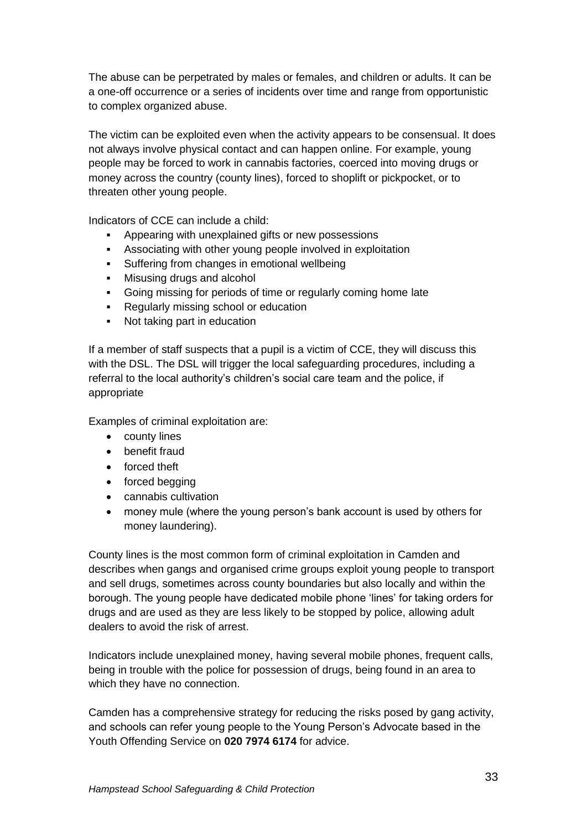The abuse can be perpetrated by males or females, and children or adults. It can be a one-off occurrence or a series of incidents over time and range from opportunistic to complex organized abuse.

The victim can be exploited even when the activity appears to be consensual. It does not always involve physical contact and can happen online. For example, young people may be forced to work in cannabis factories, coerced into moving drugs or money across the country (county lines), forced to shoplift or pickpocket, or to threaten other young people.

Indicators of CCE can include a child:

- Appearing with unexplained gifts or new possessions
- Associating with other young people involved in exploitation
- **Suffering from changes in emotional wellbeing**
- Misusing drugs and alcohol
- Going missing for periods of time or regularly coming home late
- Regularly missing school or education
- Not taking part in education

If a member of staff suspects that a pupil is a victim of CCE, they will discuss this with the DSL. The DSL will trigger the local safeguarding procedures, including a referral to the local authority's children's social care team and the police, if appropriate

Examples of criminal exploitation are:

- county lines
- **•** benefit fraud
- forced theft
- forced begging
- cannabis cultivation
- money mule (where the young person's bank account is used by others for money laundering).

County lines is the most common form of criminal exploitation in Camden and describes when gangs and organised crime groups exploit young people to transport and sell drugs, sometimes across county boundaries but also locally and within the borough. The young people have dedicated mobile phone 'lines' for taking orders for drugs and are used as they are less likely to be stopped by police, allowing adult dealers to avoid the risk of arrest.

Indicators include unexplained money, having several mobile phones, frequent calls, being in trouble with the police for possession of drugs, being found in an area to which they have no connection.

Camden has a comprehensive strategy for reducing the risks posed by gang activity, and schools can refer young people to the Young Person's Advocate based in the Youth Offending Service on **020 7974 6174** for advice.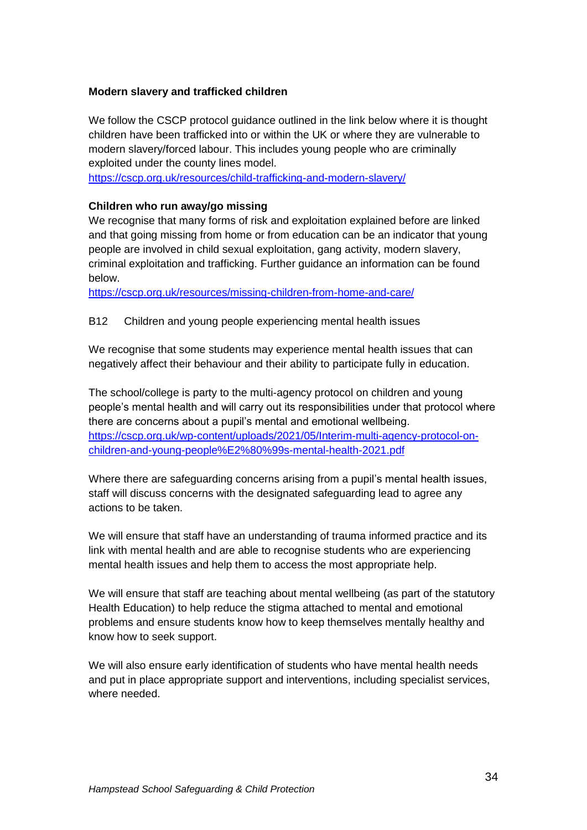#### **Modern slavery and trafficked children**

We follow the CSCP protocol guidance outlined in the link below where it is thought children have been trafficked into or within the UK or where they are vulnerable to modern slavery/forced labour. This includes young people who are criminally exploited under the county lines model.

<https://cscp.org.uk/resources/child-trafficking-and-modern-slavery/>

## **Children who run away/go missing**

We recognise that many forms of risk and exploitation explained before are linked and that going missing from home or from education can be an indicator that young people are involved in child sexual exploitation, gang activity, modern slavery, criminal exploitation and trafficking. Further guidance an information can be found below.

<https://cscp.org.uk/resources/missing-children-from-home-and-care/>

#### B12 Children and young people experiencing mental health issues

We recognise that some students may experience mental health issues that can negatively affect their behaviour and their ability to participate fully in education.

The school/college is party to the multi-agency protocol on children and young people's mental health and will carry out its responsibilities under that protocol where there are concerns about a pupil's mental and emotional wellbeing. [https://cscp.org.uk/wp-content/uploads/2021/05/Interim-multi-agency-protocol-on](https://cscp.org.uk/wp-content/uploads/2021/05/Interim-multi-agency-protocol-on-children-and-young-people%E2%80%99s-mental-health-2021.pdf)[children-and-young-people%E2%80%99s-mental-health-2021.pdf](https://cscp.org.uk/wp-content/uploads/2021/05/Interim-multi-agency-protocol-on-children-and-young-people%E2%80%99s-mental-health-2021.pdf)

Where there are safeguarding concerns arising from a pupil's mental health issues, staff will discuss concerns with the designated safeguarding lead to agree any actions to be taken.

We will ensure that staff have an understanding of trauma informed practice and its link with mental health and are able to recognise students who are experiencing mental health issues and help them to access the most appropriate help.

We will ensure that staff are teaching about mental wellbeing (as part of the statutory Health Education) to help reduce the stigma attached to mental and emotional problems and ensure students know how to keep themselves mentally healthy and know how to seek support.

We will also ensure early identification of students who have mental health needs and put in place appropriate support and interventions, including specialist services, where needed.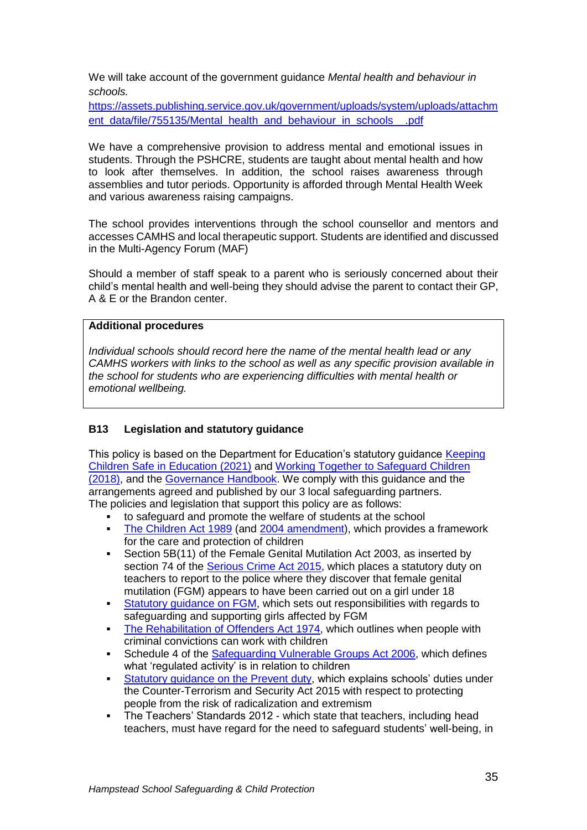We will take account of the government guidance *Mental health and behaviour in schools.*

[https://assets.publishing.service.gov.uk/government/uploads/system/uploads/attachm](https://assets.publishing.service.gov.uk/government/uploads/system/uploads/attachment_data/file/755135/Mental_health_and_behaviour_in_schools__.pdf) [ent\\_data/file/755135/Mental\\_health\\_and\\_behaviour\\_in\\_schools\\_\\_.pdf](https://assets.publishing.service.gov.uk/government/uploads/system/uploads/attachment_data/file/755135/Mental_health_and_behaviour_in_schools__.pdf)

We have a comprehensive provision to address mental and emotional issues in students. Through the PSHCRE, students are taught about mental health and how to look after themselves. In addition, the school raises awareness through assemblies and tutor periods. Opportunity is afforded through Mental Health Week and various awareness raising campaigns.

The school provides interventions through the school counsellor and mentors and accesses CAMHS and local therapeutic support. Students are identified and discussed in the Multi-Agency Forum (MAF)

Should a member of staff speak to a parent who is seriously concerned about their child's mental health and well-being they should advise the parent to contact their GP, A & E or the Brandon center.

#### **Additional procedures**

*Individual schools should record here the name of the mental health lead or any CAMHS workers with links to the school as well as any specific provision available in the school for students who are experiencing difficulties with mental health or emotional wellbeing.*

#### **B13 Legislation and statutory guidance**

This policy is based on the Department for Education's statutory guidance [Keeping](https://www.gov.uk/government/publications/keeping-children-safe-in-education--2)  [Children Safe in Education \(2021\)](https://www.gov.uk/government/publications/keeping-children-safe-in-education--2) and [Working Together to Safeguard Children](https://www.gov.uk/government/publications/working-together-to-safeguard-children--2)  [\(2018\),](https://www.gov.uk/government/publications/working-together-to-safeguard-children--2) and the [Governance Handbook.](https://www.gov.uk/government/publications/governance-handbook) We comply with this guidance and the arrangements agreed and published by our 3 local safeguarding partners. The policies and legislation that support this policy are as follows:

- to safeguard and promote the welfare of students at the school
- [The Children Act 1989](http://www.legislation.gov.uk/ukpga/1989/41) (and [2004 amendment\)](http://www.legislation.gov.uk/ukpga/2004/31/contents), which provides a framework for the care and protection of children
- Section 5B(11) of the Female Genital Mutilation Act 2003, as inserted by section 74 of the [Serious Crime Act 2015,](http://www.legislation.gov.uk/ukpga/2015/9/part/5/crossheading/female-genital-mutilation) which places a statutory duty on teachers to report to the police where they discover that female genital mutilation (FGM) appears to have been carried out on a girl under 18
- [Statutory guidance on FGM,](https://www.gov.uk/government/publications/multi-agency-statutory-guidance-on-female-genital-mutilation) which sets out responsibilities with regards to safeguarding and supporting girls affected by FGM
- [The Rehabilitation of Offenders Act 1974,](http://www.legislation.gov.uk/ukpga/1974/53) which outlines when people with criminal convictions can work with children
- Schedule 4 of the [Safeguarding Vulnerable Groups Act 2006,](http://www.legislation.gov.uk/ukpga/2006/47/schedule/4) which defines what 'regulated activity' is in relation to children
- Statutory [guidance on the Prevent duty,](https://www.gov.uk/government/publications/prevent-duty-guidance) which explains schools' duties under the Counter-Terrorism and Security Act 2015 with respect to protecting people from the risk of radicalization and extremism
- The Teachers' Standards 2012 which state that teachers, including head teachers, must have regard for the need to safeguard students' well-being, in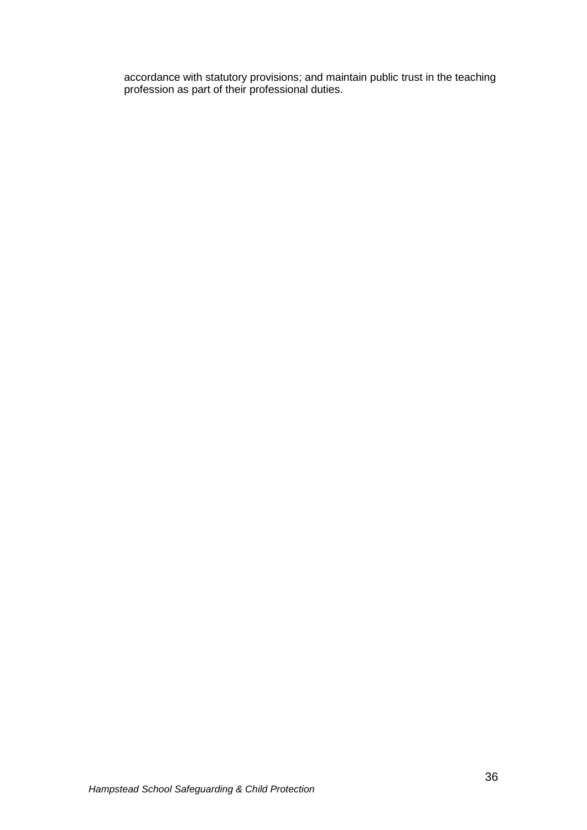accordance with statutory provisions; and maintain public trust in the teaching profession as part of their professional duties.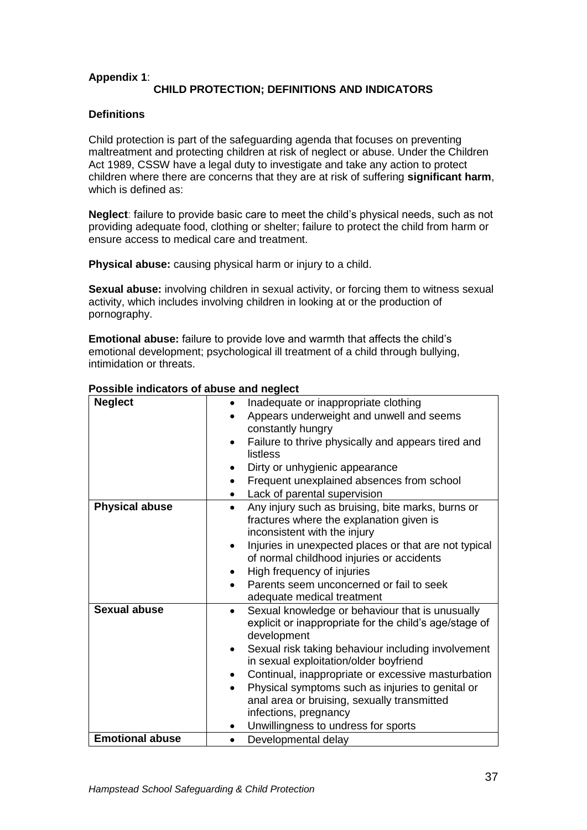## **Appendix 1**: **CHILD PROTECTION; DEFINITIONS AND INDICATORS**

#### **Definitions**

Child protection is part of the safeguarding agenda that focuses on preventing maltreatment and protecting children at risk of neglect or abuse. Under the Children Act 1989, CSSW have a legal duty to investigate and take any action to protect children where there are concerns that they are at risk of suffering **significant harm**, which is defined as:

**Neglect**: failure to provide basic care to meet the child's physical needs, such as not providing adequate food, clothing or shelter; failure to protect the child from harm or ensure access to medical care and treatment.

**Physical abuse:** causing physical harm or injury to a child.

**Sexual abuse:** involving children in sexual activity, or forcing them to witness sexual activity, which includes involving children in looking at or the production of pornography.

**Emotional abuse:** failure to provide love and warmth that affects the child's emotional development; psychological ill treatment of a child through bullying, intimidation or threats.

| <b>Neglect</b>         | Inadequate or inappropriate clothing                               |
|------------------------|--------------------------------------------------------------------|
|                        | Appears underweight and unwell and seems                           |
|                        | constantly hungry                                                  |
|                        | Failure to thrive physically and appears tired and                 |
|                        | listless                                                           |
|                        | Dirty or unhygienic appearance                                     |
|                        | Frequent unexplained absences from school<br>$\bullet$             |
|                        | Lack of parental supervision                                       |
| <b>Physical abuse</b>  | Any injury such as bruising, bite marks, burns or                  |
|                        | fractures where the explanation given is                           |
|                        | inconsistent with the injury                                       |
|                        | Injuries in unexpected places or that are not typical<br>$\bullet$ |
|                        | of normal childhood injuries or accidents                          |
|                        | High frequency of injuries                                         |
|                        | Parents seem unconcerned or fail to seek                           |
|                        | adequate medical treatment                                         |
| Sexual abuse           | Sexual knowledge or behaviour that is unusually                    |
|                        | explicit or inappropriate for the child's age/stage of             |
|                        | development                                                        |
|                        | Sexual risk taking behaviour including involvement                 |
|                        | in sexual exploitation/older boyfriend                             |
|                        | Continual, inappropriate or excessive masturbation<br>$\bullet$    |
|                        | Physical symptoms such as injuries to genital or<br>$\bullet$      |
|                        | anal area or bruising, sexually transmitted                        |
|                        | infections, pregnancy                                              |
|                        | Unwillingness to undress for sports                                |
| <b>Emotional abuse</b> | Developmental delay<br>$\bullet$                                   |

#### **Possible indicators of abuse and neglect**